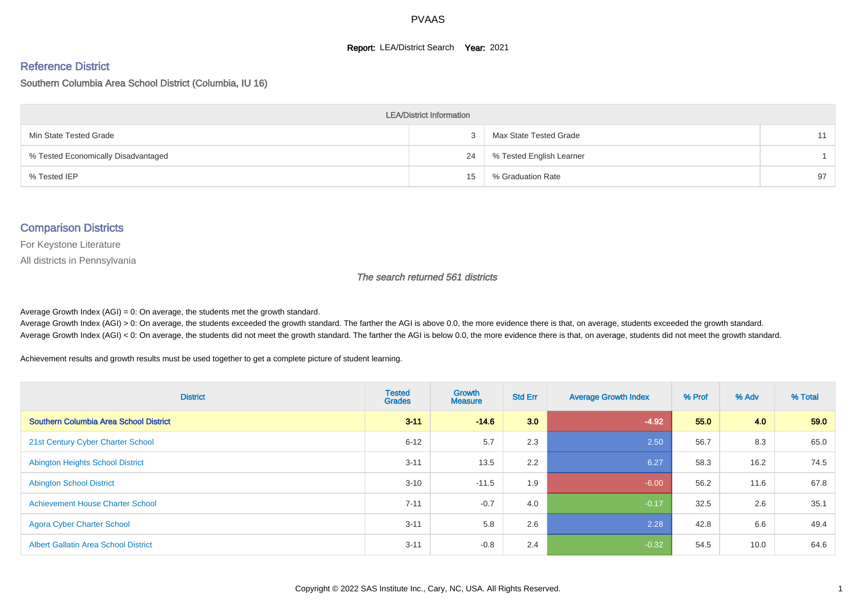#### **Report: LEA/District Search Year: 2021**

#### Reference District

#### Southern Columbia Area School District (Columbia, IU 16)

| <b>LEA/District Information</b>     |    |                          |    |  |  |  |  |  |  |  |
|-------------------------------------|----|--------------------------|----|--|--|--|--|--|--|--|
| Min State Tested Grade              |    | Max State Tested Grade   | 11 |  |  |  |  |  |  |  |
| % Tested Economically Disadvantaged | 24 | % Tested English Learner |    |  |  |  |  |  |  |  |
| % Tested IEP                        | 15 | % Graduation Rate        | 97 |  |  |  |  |  |  |  |

#### Comparison Districts

For Keystone Literature

All districts in Pennsylvania

The search returned 561 districts

Average Growth Index  $(AGI) = 0$ : On average, the students met the growth standard.

Average Growth Index (AGI) > 0: On average, the students exceeded the growth standard. The farther the AGI is above 0.0, the more evidence there is that, on average, students exceeded the growth standard. Average Growth Index (AGI) < 0: On average, the students did not meet the growth standard. The farther the AGI is below 0.0, the more evidence there is that, on average, students did not meet the growth standard.

Achievement results and growth results must be used together to get a complete picture of student learning.

| <b>District</b>                             | <b>Tested</b><br><b>Grades</b> | Growth<br><b>Measure</b> | <b>Std Err</b> | <b>Average Growth Index</b> | % Prof | % Adv | % Total |
|---------------------------------------------|--------------------------------|--------------------------|----------------|-----------------------------|--------|-------|---------|
| Southern Columbia Area School District      | $3 - 11$                       | $-146$                   | 3.0            | $-4.92$                     | 55.0   | 4.0   | 59.0    |
| 21st Century Cyber Charter School           | $6 - 12$                       | 5.7                      | 2.3            | 2.50                        | 56.7   | 8.3   | 65.0    |
| <b>Abington Heights School District</b>     | $3 - 11$                       | 13.5                     | 2.2            | 6.27                        | 58.3   | 16.2  | 74.5    |
| <b>Abington School District</b>             | $3 - 10$                       | $-11.5$                  | 1.9            | $-6.00$                     | 56.2   | 11.6  | 67.8    |
| <b>Achievement House Charter School</b>     | $7 - 11$                       | $-0.7$                   | 4.0            | $-0.17$                     | 32.5   | 2.6   | 35.1    |
| <b>Agora Cyber Charter School</b>           | $3 - 11$                       | 5.8                      | 2.6            | 2.28                        | 42.8   | 6.6   | 49.4    |
| <b>Albert Gallatin Area School District</b> | $3 - 11$                       | $-0.8$                   | 2.4            | $-0.32$                     | 54.5   | 10.0  | 64.6    |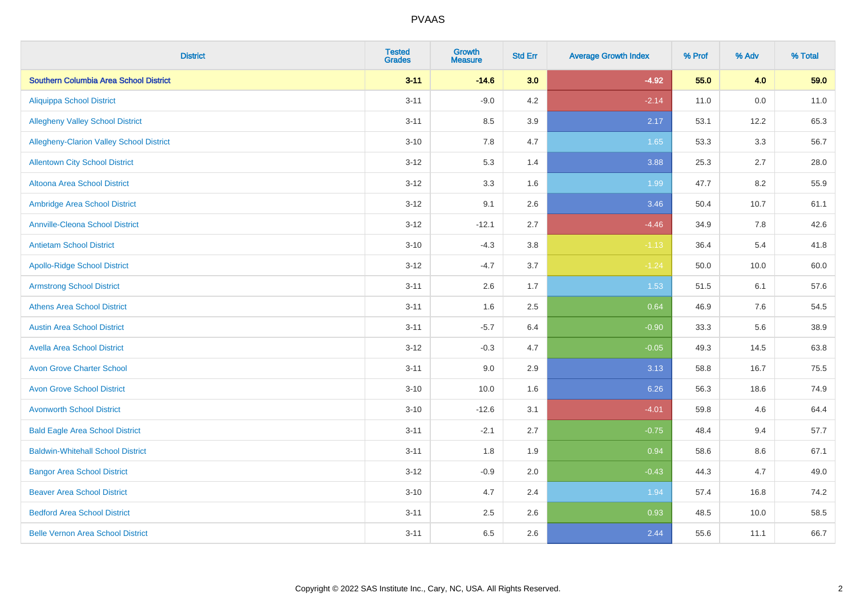| <b>District</b>                                 | <b>Tested</b><br><b>Grades</b> | Growth<br><b>Measure</b> | <b>Std Err</b> | <b>Average Growth Index</b> | % Prof | % Adv   | % Total |
|-------------------------------------------------|--------------------------------|--------------------------|----------------|-----------------------------|--------|---------|---------|
| <b>Southern Columbia Area School District</b>   | $3 - 11$                       | $-14.6$                  | 3.0            | $-4.92$                     | 55.0   | 4.0     | 59.0    |
| <b>Aliquippa School District</b>                | $3 - 11$                       | $-9.0$                   | 4.2            | $-2.14$                     | 11.0   | 0.0     | 11.0    |
| <b>Allegheny Valley School District</b>         | $3 - 11$                       | 8.5                      | 3.9            | 2.17                        | 53.1   | 12.2    | 65.3    |
| <b>Allegheny-Clarion Valley School District</b> | $3 - 10$                       | 7.8                      | 4.7            | 1.65                        | 53.3   | $3.3\,$ | 56.7    |
| <b>Allentown City School District</b>           | $3 - 12$                       | 5.3                      | 1.4            | 3.88                        | 25.3   | 2.7     | 28.0    |
| Altoona Area School District                    | $3 - 12$                       | 3.3                      | 1.6            | 1.99                        | 47.7   | 8.2     | 55.9    |
| Ambridge Area School District                   | $3 - 12$                       | 9.1                      | 2.6            | 3.46                        | 50.4   | 10.7    | 61.1    |
| <b>Annville-Cleona School District</b>          | $3 - 12$                       | $-12.1$                  | 2.7            | $-4.46$                     | 34.9   | 7.8     | 42.6    |
| <b>Antietam School District</b>                 | $3 - 10$                       | $-4.3$                   | 3.8            | $-1.13$                     | 36.4   | 5.4     | 41.8    |
| <b>Apollo-Ridge School District</b>             | $3 - 12$                       | $-4.7$                   | $3.7\,$        | $-1.24$                     | 50.0   | 10.0    | 60.0    |
| <b>Armstrong School District</b>                | $3 - 11$                       | 2.6                      | 1.7            | 1.53                        | 51.5   | 6.1     | 57.6    |
| <b>Athens Area School District</b>              | $3 - 11$                       | 1.6                      | 2.5            | 0.64                        | 46.9   | 7.6     | 54.5    |
| <b>Austin Area School District</b>              | $3 - 11$                       | $-5.7$                   | 6.4            | $-0.90$                     | 33.3   | 5.6     | 38.9    |
| <b>Avella Area School District</b>              | $3 - 12$                       | $-0.3$                   | 4.7            | $-0.05$                     | 49.3   | 14.5    | 63.8    |
| <b>Avon Grove Charter School</b>                | $3 - 11$                       | 9.0                      | 2.9            | 3.13                        | 58.8   | 16.7    | 75.5    |
| <b>Avon Grove School District</b>               | $3 - 10$                       | 10.0                     | 1.6            | 6.26                        | 56.3   | 18.6    | 74.9    |
| <b>Avonworth School District</b>                | $3 - 10$                       | $-12.6$                  | 3.1            | $-4.01$                     | 59.8   | 4.6     | 64.4    |
| <b>Bald Eagle Area School District</b>          | $3 - 11$                       | $-2.1$                   | 2.7            | $-0.75$                     | 48.4   | 9.4     | 57.7    |
| <b>Baldwin-Whitehall School District</b>        | $3 - 11$                       | 1.8                      | 1.9            | 0.94                        | 58.6   | 8.6     | 67.1    |
| <b>Bangor Area School District</b>              | $3 - 12$                       | $-0.9$                   | 2.0            | $-0.43$                     | 44.3   | 4.7     | 49.0    |
| <b>Beaver Area School District</b>              | $3 - 10$                       | 4.7                      | 2.4            | 1.94                        | 57.4   | 16.8    | 74.2    |
| <b>Bedford Area School District</b>             | $3 - 11$                       | 2.5                      | 2.6            | 0.93                        | 48.5   | 10.0    | 58.5    |
| <b>Belle Vernon Area School District</b>        | $3 - 11$                       | 6.5                      | 2.6            | 2.44                        | 55.6   | 11.1    | 66.7    |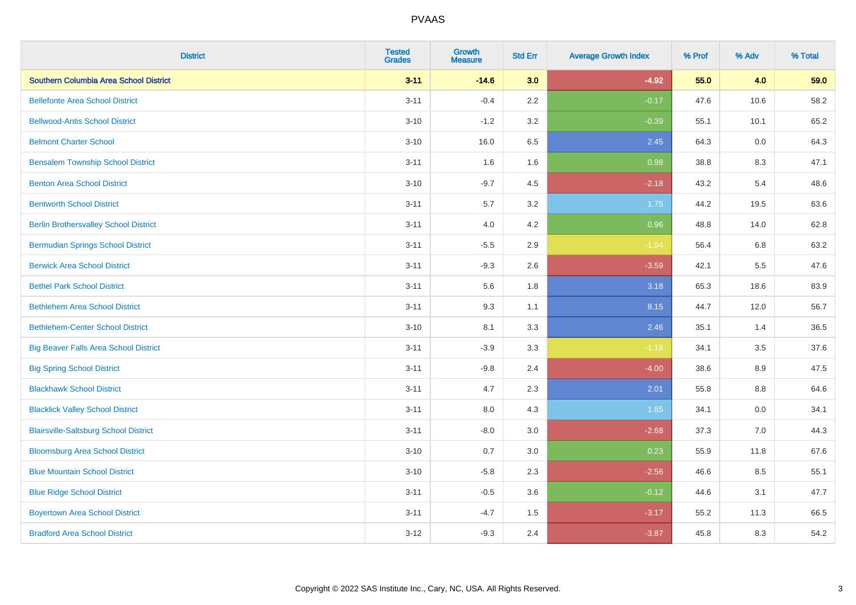| <b>District</b>                              | <b>Tested</b><br><b>Grades</b> | <b>Growth</b><br><b>Measure</b> | <b>Std Err</b> | <b>Average Growth Index</b> | % Prof | % Adv | % Total |
|----------------------------------------------|--------------------------------|---------------------------------|----------------|-----------------------------|--------|-------|---------|
| Southern Columbia Area School District       | $3 - 11$                       | $-14.6$                         | 3.0            | $-4.92$                     | 55.0   | 4.0   | 59.0    |
| <b>Bellefonte Area School District</b>       | $3 - 11$                       | $-0.4$                          | 2.2            | $-0.17$                     | 47.6   | 10.6  | 58.2    |
| <b>Bellwood-Antis School District</b>        | $3 - 10$                       | $-1.2$                          | 3.2            | $-0.39$                     | 55.1   | 10.1  | 65.2    |
| <b>Belmont Charter School</b>                | $3 - 10$                       | 16.0                            | 6.5            | 2.45                        | 64.3   | 0.0   | 64.3    |
| <b>Bensalem Township School District</b>     | $3 - 11$                       | 1.6                             | 1.6            | 0.98                        | 38.8   | 8.3   | 47.1    |
| <b>Benton Area School District</b>           | $3 - 10$                       | $-9.7$                          | 4.5            | $-2.18$                     | 43.2   | 5.4   | 48.6    |
| <b>Bentworth School District</b>             | $3 - 11$                       | 5.7                             | 3.2            | 1.75                        | 44.2   | 19.5  | 63.6    |
| <b>Berlin Brothersvalley School District</b> | $3 - 11$                       | 4.0                             | 4.2            | 0.96                        | 48.8   | 14.0  | 62.8    |
| <b>Bermudian Springs School District</b>     | $3 - 11$                       | $-5.5$                          | 2.9            | $-1.94$                     | 56.4   | 6.8   | 63.2    |
| <b>Berwick Area School District</b>          | $3 - 11$                       | $-9.3$                          | 2.6            | $-3.59$                     | 42.1   | 5.5   | 47.6    |
| <b>Bethel Park School District</b>           | $3 - 11$                       | 5.6                             | 1.8            | 3.18                        | 65.3   | 18.6  | 83.9    |
| <b>Bethlehem Area School District</b>        | $3 - 11$                       | 9.3                             | 1.1            | 8.15                        | 44.7   | 12.0  | 56.7    |
| <b>Bethlehem-Center School District</b>      | $3 - 10$                       | 8.1                             | 3.3            | 2.46                        | 35.1   | 1.4   | 36.5    |
| <b>Big Beaver Falls Area School District</b> | $3 - 11$                       | $-3.9$                          | 3.3            | $-1.18$                     | 34.1   | 3.5   | 37.6    |
| <b>Big Spring School District</b>            | $3 - 11$                       | $-9.8$                          | 2.4            | $-4.00$                     | 38.6   | 8.9   | 47.5    |
| <b>Blackhawk School District</b>             | $3 - 11$                       | 4.7                             | 2.3            | 2.01                        | 55.8   | 8.8   | 64.6    |
| <b>Blacklick Valley School District</b>      | $3 - 11$                       | 8.0                             | 4.3            | 1.85                        | 34.1   | 0.0   | 34.1    |
| <b>Blairsville-Saltsburg School District</b> | $3 - 11$                       | $-8.0$                          | 3.0            | $-2.68$                     | 37.3   | 7.0   | 44.3    |
| <b>Bloomsburg Area School District</b>       | $3 - 10$                       | 0.7                             | 3.0            | 0.23                        | 55.9   | 11.8  | 67.6    |
| <b>Blue Mountain School District</b>         | $3 - 10$                       | $-5.8$                          | 2.3            | $-2.56$                     | 46.6   | 8.5   | 55.1    |
| <b>Blue Ridge School District</b>            | $3 - 11$                       | $-0.5$                          | 3.6            | $-0.12$                     | 44.6   | 3.1   | 47.7    |
| <b>Boyertown Area School District</b>        | $3 - 11$                       | $-4.7$                          | 1.5            | $-3.17$                     | 55.2   | 11.3  | 66.5    |
| <b>Bradford Area School District</b>         | $3 - 12$                       | $-9.3$                          | 2.4            | $-3.87$                     | 45.8   | 8.3   | 54.2    |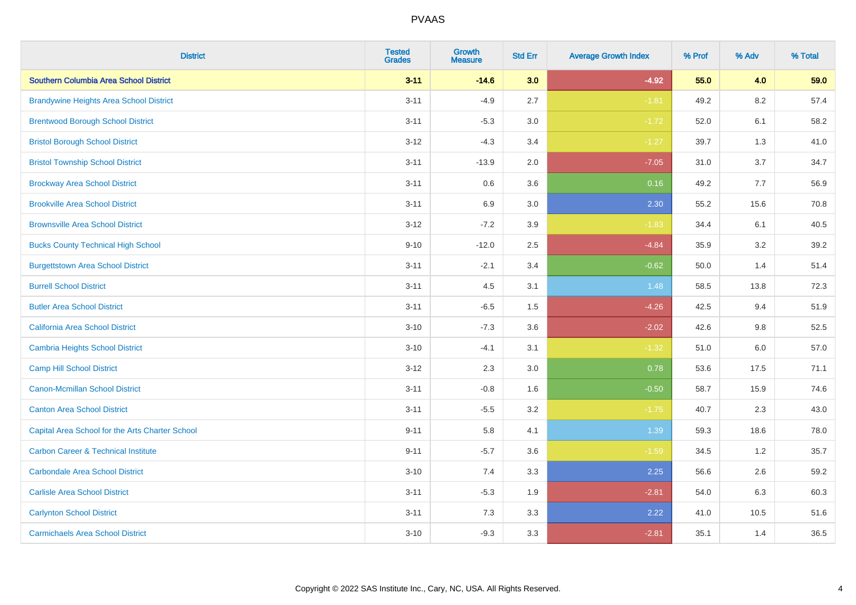| <b>District</b>                                 | <b>Tested</b><br><b>Grades</b> | <b>Growth</b><br><b>Measure</b> | <b>Std Err</b> | <b>Average Growth Index</b> | % Prof | % Adv   | % Total |
|-------------------------------------------------|--------------------------------|---------------------------------|----------------|-----------------------------|--------|---------|---------|
| Southern Columbia Area School District          | $3 - 11$                       | $-14.6$                         | 3.0            | $-4.92$                     | 55.0   | 4.0     | 59.0    |
| <b>Brandywine Heights Area School District</b>  | $3 - 11$                       | $-4.9$                          | 2.7            | $-1.81$                     | 49.2   | $8.2\,$ | 57.4    |
| <b>Brentwood Borough School District</b>        | $3 - 11$                       | $-5.3$                          | 3.0            | $-1.72$                     | 52.0   | 6.1     | 58.2    |
| <b>Bristol Borough School District</b>          | $3 - 12$                       | $-4.3$                          | 3.4            | $-1.27$                     | 39.7   | 1.3     | 41.0    |
| <b>Bristol Township School District</b>         | $3 - 11$                       | $-13.9$                         | 2.0            | $-7.05$                     | 31.0   | 3.7     | 34.7    |
| <b>Brockway Area School District</b>            | $3 - 11$                       | 0.6                             | 3.6            | 0.16                        | 49.2   | 7.7     | 56.9    |
| <b>Brookville Area School District</b>          | $3 - 11$                       | 6.9                             | 3.0            | 2.30                        | 55.2   | 15.6    | 70.8    |
| <b>Brownsville Area School District</b>         | $3 - 12$                       | $-7.2$                          | 3.9            | $-1.83$                     | 34.4   | 6.1     | 40.5    |
| <b>Bucks County Technical High School</b>       | $9 - 10$                       | $-12.0$                         | 2.5            | $-4.84$                     | 35.9   | 3.2     | 39.2    |
| <b>Burgettstown Area School District</b>        | $3 - 11$                       | $-2.1$                          | 3.4            | $-0.62$                     | 50.0   | 1.4     | 51.4    |
| <b>Burrell School District</b>                  | $3 - 11$                       | 4.5                             | 3.1            | 1.48                        | 58.5   | 13.8    | 72.3    |
| <b>Butler Area School District</b>              | $3 - 11$                       | $-6.5$                          | 1.5            | $-4.26$                     | 42.5   | 9.4     | 51.9    |
| <b>California Area School District</b>          | $3 - 10$                       | $-7.3$                          | 3.6            | $-2.02$                     | 42.6   | $9.8\,$ | 52.5    |
| <b>Cambria Heights School District</b>          | $3 - 10$                       | $-4.1$                          | 3.1            | $-1.32$                     | 51.0   | 6.0     | 57.0    |
| <b>Camp Hill School District</b>                | $3 - 12$                       | 2.3                             | 3.0            | 0.78                        | 53.6   | 17.5    | 71.1    |
| <b>Canon-Mcmillan School District</b>           | $3 - 11$                       | $-0.8$                          | 1.6            | $-0.50$                     | 58.7   | 15.9    | 74.6    |
| <b>Canton Area School District</b>              | $3 - 11$                       | $-5.5$                          | 3.2            | $-1.75$                     | 40.7   | 2.3     | 43.0    |
| Capital Area School for the Arts Charter School | $9 - 11$                       | 5.8                             | 4.1            | 1.39                        | 59.3   | 18.6    | 78.0    |
| <b>Carbon Career &amp; Technical Institute</b>  | $9 - 11$                       | $-5.7$                          | 3.6            | $-1.59$                     | 34.5   | 1.2     | 35.7    |
| <b>Carbondale Area School District</b>          | $3 - 10$                       | 7.4                             | 3.3            | 2.25                        | 56.6   | 2.6     | 59.2    |
| <b>Carlisle Area School District</b>            | $3 - 11$                       | $-5.3$                          | 1.9            | $-2.81$                     | 54.0   | 6.3     | 60.3    |
| <b>Carlynton School District</b>                | $3 - 11$                       | 7.3                             | 3.3            | 2.22                        | 41.0   | 10.5    | 51.6    |
| <b>Carmichaels Area School District</b>         | $3 - 10$                       | $-9.3$                          | 3.3            | $-2.81$                     | 35.1   | 1.4     | 36.5    |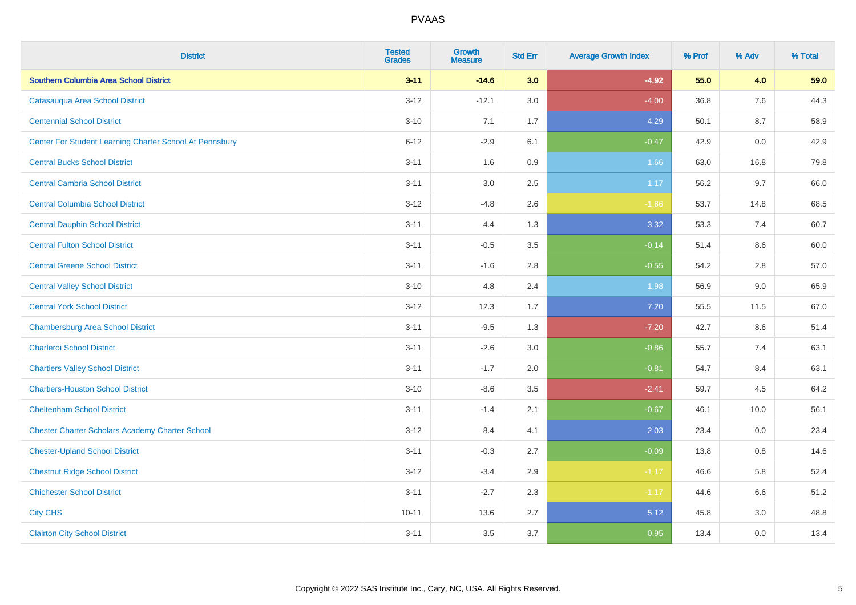| <b>District</b>                                         | <b>Tested</b><br><b>Grades</b> | <b>Growth</b><br><b>Measure</b> | <b>Std Err</b> | <b>Average Growth Index</b> | % Prof | % Adv | % Total |
|---------------------------------------------------------|--------------------------------|---------------------------------|----------------|-----------------------------|--------|-------|---------|
| Southern Columbia Area School District                  | $3 - 11$                       | $-14.6$                         | 3.0            | $-4.92$                     | 55.0   | 4.0   | 59.0    |
| Catasauqua Area School District                         | $3 - 12$                       | $-12.1$                         | 3.0            | $-4.00$                     | 36.8   | 7.6   | 44.3    |
| <b>Centennial School District</b>                       | $3 - 10$                       | 7.1                             | 1.7            | 4.29                        | 50.1   | 8.7   | 58.9    |
| Center For Student Learning Charter School At Pennsbury | $6 - 12$                       | $-2.9$                          | 6.1            | $-0.47$                     | 42.9   | 0.0   | 42.9    |
| <b>Central Bucks School District</b>                    | $3 - 11$                       | 1.6                             | 0.9            | 1.66                        | 63.0   | 16.8  | 79.8    |
| <b>Central Cambria School District</b>                  | $3 - 11$                       | 3.0                             | 2.5            | 1.17                        | 56.2   | 9.7   | 66.0    |
| <b>Central Columbia School District</b>                 | $3 - 12$                       | $-4.8$                          | 2.6            | $-1.86$                     | 53.7   | 14.8  | 68.5    |
| <b>Central Dauphin School District</b>                  | $3 - 11$                       | 4.4                             | 1.3            | 3.32                        | 53.3   | 7.4   | 60.7    |
| <b>Central Fulton School District</b>                   | $3 - 11$                       | $-0.5$                          | 3.5            | $-0.14$                     | 51.4   | 8.6   | 60.0    |
| <b>Central Greene School District</b>                   | $3 - 11$                       | $-1.6$                          | 2.8            | $-0.55$                     | 54.2   | 2.8   | 57.0    |
| <b>Central Valley School District</b>                   | $3 - 10$                       | 4.8                             | 2.4            | 1.98                        | 56.9   | 9.0   | 65.9    |
| <b>Central York School District</b>                     | $3 - 12$                       | 12.3                            | 1.7            | 7.20                        | 55.5   | 11.5  | 67.0    |
| <b>Chambersburg Area School District</b>                | $3 - 11$                       | $-9.5$                          | 1.3            | $-7.20$                     | 42.7   | 8.6   | 51.4    |
| <b>Charleroi School District</b>                        | $3 - 11$                       | $-2.6$                          | 3.0            | $-0.86$                     | 55.7   | 7.4   | 63.1    |
| <b>Chartiers Valley School District</b>                 | $3 - 11$                       | $-1.7$                          | 2.0            | $-0.81$                     | 54.7   | 8.4   | 63.1    |
| <b>Chartiers-Houston School District</b>                | $3 - 10$                       | $-8.6$                          | 3.5            | $-2.41$                     | 59.7   | 4.5   | 64.2    |
| <b>Cheltenham School District</b>                       | $3 - 11$                       | $-1.4$                          | 2.1            | $-0.67$                     | 46.1   | 10.0  | 56.1    |
| <b>Chester Charter Scholars Academy Charter School</b>  | $3 - 12$                       | 8.4                             | 4.1            | 2.03                        | 23.4   | 0.0   | 23.4    |
| <b>Chester-Upland School District</b>                   | $3 - 11$                       | $-0.3$                          | 2.7            | $-0.09$                     | 13.8   | 0.8   | 14.6    |
| <b>Chestnut Ridge School District</b>                   | $3 - 12$                       | $-3.4$                          | 2.9            | $-1.17$                     | 46.6   | 5.8   | 52.4    |
| <b>Chichester School District</b>                       | $3 - 11$                       | $-2.7$                          | 2.3            | $-1.17$                     | 44.6   | 6.6   | 51.2    |
| <b>City CHS</b>                                         | $10 - 11$                      | 13.6                            | 2.7            | 5.12                        | 45.8   | 3.0   | 48.8    |
| <b>Clairton City School District</b>                    | $3 - 11$                       | 3.5                             | 3.7            | 0.95                        | 13.4   | 0.0   | 13.4    |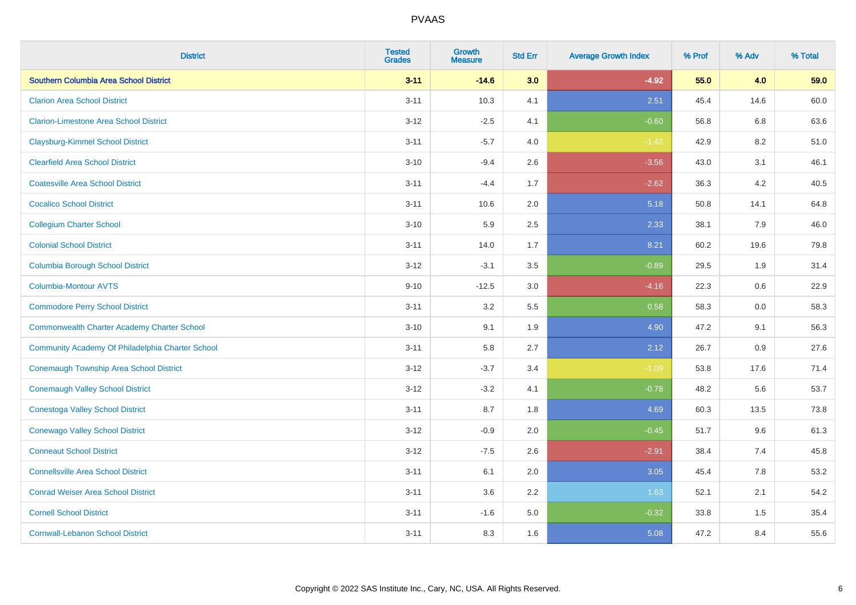| <b>District</b>                                    | <b>Tested</b><br><b>Grades</b> | <b>Growth</b><br><b>Measure</b> | <b>Std Err</b> | <b>Average Growth Index</b> | % Prof | % Adv | % Total |
|----------------------------------------------------|--------------------------------|---------------------------------|----------------|-----------------------------|--------|-------|---------|
| Southern Columbia Area School District             | $3 - 11$                       | $-14.6$                         | 3.0            | $-4.92$                     | 55.0   | 4.0   | 59.0    |
| <b>Clarion Area School District</b>                | $3 - 11$                       | 10.3                            | 4.1            | 2.51                        | 45.4   | 14.6  | 60.0    |
| <b>Clarion-Limestone Area School District</b>      | $3 - 12$                       | $-2.5$                          | 4.1            | $-0.60$                     | 56.8   | 6.8   | 63.6    |
| <b>Claysburg-Kimmel School District</b>            | $3 - 11$                       | $-5.7$                          | 4.0            | $-1.42$                     | 42.9   | 8.2   | 51.0    |
| <b>Clearfield Area School District</b>             | $3 - 10$                       | $-9.4$                          | 2.6            | $-3.56$                     | 43.0   | 3.1   | 46.1    |
| <b>Coatesville Area School District</b>            | $3 - 11$                       | $-4.4$                          | 1.7            | $-2.62$                     | 36.3   | 4.2   | 40.5    |
| <b>Cocalico School District</b>                    | $3 - 11$                       | 10.6                            | 2.0            | 5.18                        | 50.8   | 14.1  | 64.8    |
| <b>Collegium Charter School</b>                    | $3 - 10$                       | 5.9                             | 2.5            | 2.33                        | 38.1   | 7.9   | 46.0    |
| <b>Colonial School District</b>                    | $3 - 11$                       | 14.0                            | 1.7            | 8.21                        | 60.2   | 19.6  | 79.8    |
| <b>Columbia Borough School District</b>            | $3 - 12$                       | $-3.1$                          | 3.5            | $-0.89$                     | 29.5   | 1.9   | 31.4    |
| <b>Columbia-Montour AVTS</b>                       | $9 - 10$                       | $-12.5$                         | 3.0            | $-4.16$                     | 22.3   | 0.6   | 22.9    |
| <b>Commodore Perry School District</b>             | $3 - 11$                       | 3.2                             | 5.5            | 0.58                        | 58.3   | 0.0   | 58.3    |
| <b>Commonwealth Charter Academy Charter School</b> | $3 - 10$                       | 9.1                             | 1.9            | 4.90                        | 47.2   | 9.1   | 56.3    |
| Community Academy Of Philadelphia Charter School   | $3 - 11$                       | 5.8                             | 2.7            | 2.12                        | 26.7   | 0.9   | 27.6    |
| Conemaugh Township Area School District            | $3-12$                         | $-3.7$                          | 3.4            | $-1.09$                     | 53.8   | 17.6  | 71.4    |
| <b>Conemaugh Valley School District</b>            | $3 - 12$                       | $-3.2$                          | 4.1            | $-0.78$                     | 48.2   | 5.6   | 53.7    |
| <b>Conestoga Valley School District</b>            | $3 - 11$                       | 8.7                             | 1.8            | 4.69                        | 60.3   | 13.5  | 73.8    |
| <b>Conewago Valley School District</b>             | $3 - 12$                       | $-0.9$                          | 2.0            | $-0.45$                     | 51.7   | 9.6   | 61.3    |
| <b>Conneaut School District</b>                    | $3-12$                         | $-7.5$                          | 2.6            | $-2.91$                     | 38.4   | 7.4   | 45.8    |
| <b>Connellsville Area School District</b>          | $3 - 11$                       | 6.1                             | 2.0            | 3.05                        | 45.4   | 7.8   | 53.2    |
| <b>Conrad Weiser Area School District</b>          | $3 - 11$                       | 3.6                             | 2.2            | 1.63                        | 52.1   | 2.1   | 54.2    |
| <b>Cornell School District</b>                     | $3 - 11$                       | $-1.6$                          | 5.0            | $-0.32$                     | 33.8   | 1.5   | 35.4    |
| <b>Cornwall-Lebanon School District</b>            | $3 - 11$                       | 8.3                             | 1.6            | 5.08                        | 47.2   | 8.4   | 55.6    |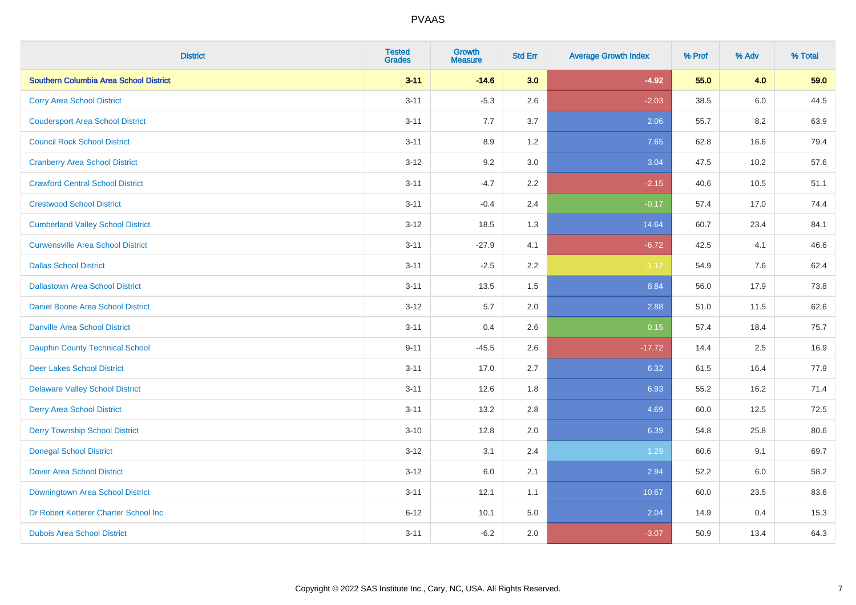| <b>District</b>                          | <b>Tested</b><br><b>Grades</b> | <b>Growth</b><br><b>Measure</b> | <b>Std Err</b> | <b>Average Growth Index</b> | % Prof | % Adv | % Total |
|------------------------------------------|--------------------------------|---------------------------------|----------------|-----------------------------|--------|-------|---------|
| Southern Columbia Area School District   | $3 - 11$                       | $-14.6$                         | 3.0            | $-4.92$                     | 55.0   | 4.0   | 59.0    |
| <b>Corry Area School District</b>        | $3 - 11$                       | $-5.3$                          | 2.6            | $-2.03$                     | 38.5   | 6.0   | 44.5    |
| <b>Coudersport Area School District</b>  | $3 - 11$                       | 7.7                             | 3.7            | 2.06                        | 55.7   | 8.2   | 63.9    |
| <b>Council Rock School District</b>      | $3 - 11$                       | 8.9                             | 1.2            | 7.65                        | 62.8   | 16.6  | 79.4    |
| <b>Cranberry Area School District</b>    | $3 - 12$                       | 9.2                             | 3.0            | 3.04                        | 47.5   | 10.2  | 57.6    |
| <b>Crawford Central School District</b>  | $3 - 11$                       | $-4.7$                          | 2.2            | $-2.15$                     | 40.6   | 10.5  | 51.1    |
| <b>Crestwood School District</b>         | $3 - 11$                       | $-0.4$                          | 2.4            | $-0.17$                     | 57.4   | 17.0  | 74.4    |
| <b>Cumberland Valley School District</b> | $3 - 12$                       | 18.5                            | 1.3            | 14.64                       | 60.7   | 23.4  | 84.1    |
| <b>Curwensville Area School District</b> | $3 - 11$                       | $-27.9$                         | 4.1            | $-6.72$                     | 42.5   | 4.1   | 46.6    |
| <b>Dallas School District</b>            | $3 - 11$                       | $-2.5$                          | 2.2            | $-1.12$                     | 54.9   | 7.6   | 62.4    |
| <b>Dallastown Area School District</b>   | $3 - 11$                       | 13.5                            | 1.5            | 8.84                        | 56.0   | 17.9  | 73.8    |
| <b>Daniel Boone Area School District</b> | $3-12$                         | 5.7                             | 2.0            | 2.88                        | 51.0   | 11.5  | 62.6    |
| Danville Area School District            | $3 - 11$                       | 0.4                             | 2.6            | 0.15                        | 57.4   | 18.4  | 75.7    |
| <b>Dauphin County Technical School</b>   | $9 - 11$                       | $-45.5$                         | 2.6            | $-17.72$                    | 14.4   | 2.5   | 16.9    |
| <b>Deer Lakes School District</b>        | $3 - 11$                       | 17.0                            | 2.7            | 6.32                        | 61.5   | 16.4  | 77.9    |
| <b>Delaware Valley School District</b>   | $3 - 11$                       | 12.6                            | 1.8            | 6.93                        | 55.2   | 16.2  | 71.4    |
| <b>Derry Area School District</b>        | $3 - 11$                       | 13.2                            | 2.8            | 4.69                        | 60.0   | 12.5  | 72.5    |
| <b>Derry Township School District</b>    | $3 - 10$                       | 12.8                            | 2.0            | 6.39                        | 54.8   | 25.8  | 80.6    |
| <b>Donegal School District</b>           | $3 - 12$                       | 3.1                             | 2.4            | 1.29                        | 60.6   | 9.1   | 69.7    |
| Dover Area School District               | $3 - 12$                       | 6.0                             | 2.1            | 2.94                        | 52.2   | 6.0   | 58.2    |
| Downingtown Area School District         | $3 - 11$                       | 12.1                            | 1.1            | 10.67                       | 60.0   | 23.5  | 83.6    |
| Dr Robert Ketterer Charter School Inc    | $6 - 12$                       | 10.1                            | 5.0            | 2.04                        | 14.9   | 0.4   | 15.3    |
| <b>Dubois Area School District</b>       | $3 - 11$                       | $-6.2$                          | 2.0            | $-3.07$                     | 50.9   | 13.4  | 64.3    |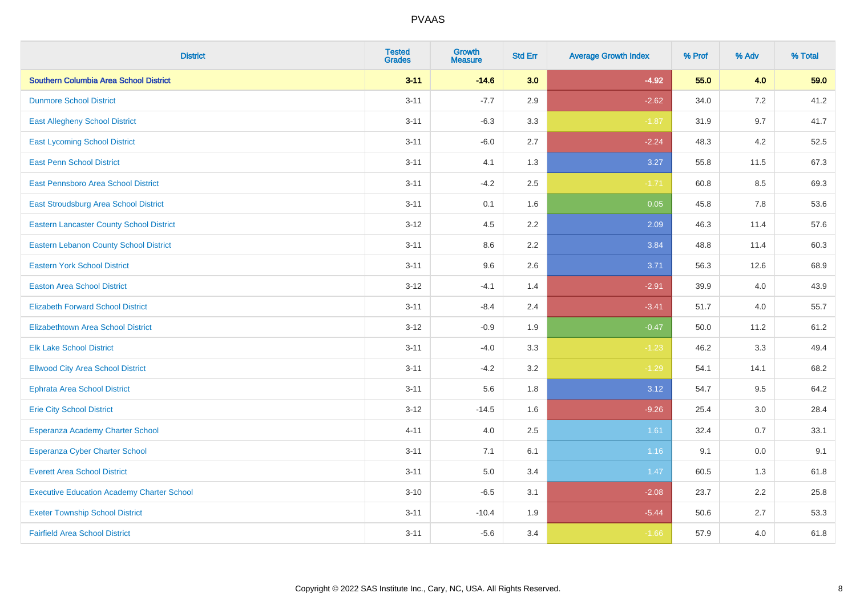| <b>District</b>                                   | <b>Tested</b><br><b>Grades</b> | <b>Growth</b><br><b>Measure</b> | <b>Std Err</b> | <b>Average Growth Index</b> | % Prof | % Adv | % Total |
|---------------------------------------------------|--------------------------------|---------------------------------|----------------|-----------------------------|--------|-------|---------|
| Southern Columbia Area School District            | $3 - 11$                       | $-14.6$                         | 3.0            | $-4.92$                     | 55.0   | 4.0   | 59.0    |
| <b>Dunmore School District</b>                    | $3 - 11$                       | $-7.7$                          | 2.9            | $-2.62$                     | 34.0   | 7.2   | 41.2    |
| <b>East Allegheny School District</b>             | $3 - 11$                       | $-6.3$                          | 3.3            | $-1.87$                     | 31.9   | 9.7   | 41.7    |
| <b>East Lycoming School District</b>              | $3 - 11$                       | $-6.0$                          | 2.7            | $-2.24$                     | 48.3   | 4.2   | 52.5    |
| <b>East Penn School District</b>                  | $3 - 11$                       | 4.1                             | 1.3            | 3.27                        | 55.8   | 11.5  | 67.3    |
| East Pennsboro Area School District               | $3 - 11$                       | $-4.2$                          | 2.5            | $-1.71$                     | 60.8   | 8.5   | 69.3    |
| <b>East Stroudsburg Area School District</b>      | $3 - 11$                       | 0.1                             | 1.6            | 0.05                        | 45.8   | 7.8   | 53.6    |
| <b>Eastern Lancaster County School District</b>   | $3 - 12$                       | 4.5                             | 2.2            | 2.09                        | 46.3   | 11.4  | 57.6    |
| <b>Eastern Lebanon County School District</b>     | $3 - 11$                       | 8.6                             | 2.2            | 3.84                        | 48.8   | 11.4  | 60.3    |
| <b>Eastern York School District</b>               | $3 - 11$                       | 9.6                             | 2.6            | 3.71                        | 56.3   | 12.6  | 68.9    |
| <b>Easton Area School District</b>                | $3 - 12$                       | $-4.1$                          | 1.4            | $-2.91$                     | 39.9   | 4.0   | 43.9    |
| <b>Elizabeth Forward School District</b>          | $3 - 11$                       | $-8.4$                          | 2.4            | $-3.41$                     | 51.7   | 4.0   | 55.7    |
| <b>Elizabethtown Area School District</b>         | $3 - 12$                       | $-0.9$                          | 1.9            | $-0.47$                     | 50.0   | 11.2  | 61.2    |
| <b>Elk Lake School District</b>                   | $3 - 11$                       | $-4.0$                          | 3.3            | $-1.23$                     | 46.2   | 3.3   | 49.4    |
| <b>Ellwood City Area School District</b>          | $3 - 11$                       | $-4.2$                          | 3.2            | $-1.29$                     | 54.1   | 14.1  | 68.2    |
| <b>Ephrata Area School District</b>               | $3 - 11$                       | 5.6                             | 1.8            | 3.12                        | 54.7   | 9.5   | 64.2    |
| <b>Erie City School District</b>                  | $3 - 12$                       | $-14.5$                         | 1.6            | $-9.26$                     | 25.4   | 3.0   | 28.4    |
| Esperanza Academy Charter School                  | $4 - 11$                       | 4.0                             | 2.5            | 1.61                        | 32.4   | 0.7   | 33.1    |
| <b>Esperanza Cyber Charter School</b>             | $3 - 11$                       | 7.1                             | 6.1            | 1.16                        | 9.1    | 0.0   | 9.1     |
| <b>Everett Area School District</b>               | $3 - 11$                       | 5.0                             | 3.4            | 1.47                        | 60.5   | 1.3   | 61.8    |
| <b>Executive Education Academy Charter School</b> | $3 - 10$                       | $-6.5$                          | 3.1            | $-2.08$                     | 23.7   | 2.2   | 25.8    |
| <b>Exeter Township School District</b>            | $3 - 11$                       | $-10.4$                         | 1.9            | $-5.44$                     | 50.6   | 2.7   | 53.3    |
| <b>Fairfield Area School District</b>             | $3 - 11$                       | $-5.6$                          | 3.4            | $-1.66$                     | 57.9   | 4.0   | 61.8    |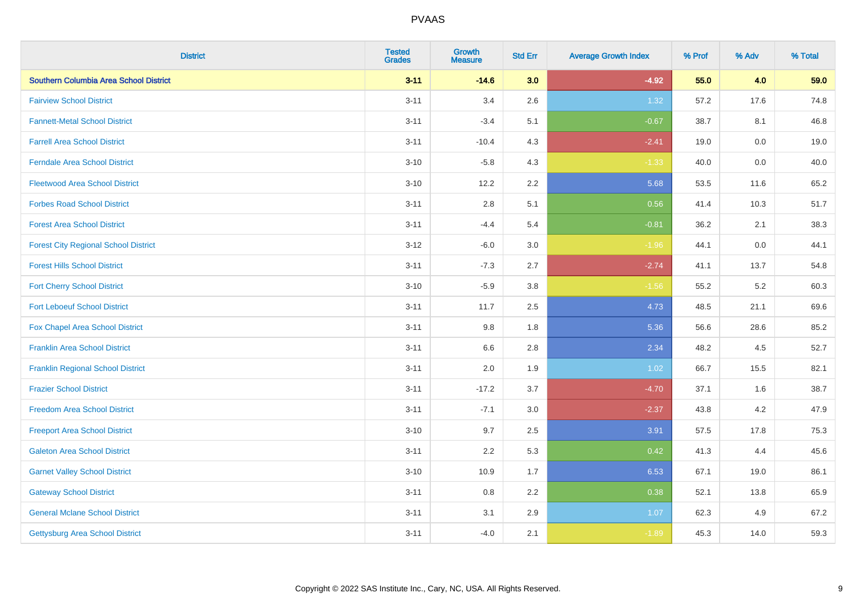| <b>District</b>                             | <b>Tested</b><br><b>Grades</b> | Growth<br><b>Measure</b> | <b>Std Err</b> | <b>Average Growth Index</b> | % Prof | % Adv   | % Total |
|---------------------------------------------|--------------------------------|--------------------------|----------------|-----------------------------|--------|---------|---------|
| Southern Columbia Area School District      | $3 - 11$                       | $-14.6$                  | 3.0            | $-4.92$                     | 55.0   | 4.0     | 59.0    |
| <b>Fairview School District</b>             | $3 - 11$                       | 3.4                      | 2.6            | 1.32                        | 57.2   | 17.6    | 74.8    |
| <b>Fannett-Metal School District</b>        | $3 - 11$                       | $-3.4$                   | 5.1            | $-0.67$                     | 38.7   | 8.1     | 46.8    |
| <b>Farrell Area School District</b>         | $3 - 11$                       | $-10.4$                  | 4.3            | $-2.41$                     | 19.0   | $0.0\,$ | 19.0    |
| <b>Ferndale Area School District</b>        | $3 - 10$                       | $-5.8$                   | 4.3            | $-1.33$                     | 40.0   | 0.0     | 40.0    |
| <b>Fleetwood Area School District</b>       | $3 - 10$                       | 12.2                     | 2.2            | 5.68                        | 53.5   | 11.6    | 65.2    |
| <b>Forbes Road School District</b>          | $3 - 11$                       | 2.8                      | 5.1            | 0.56                        | 41.4   | 10.3    | 51.7    |
| <b>Forest Area School District</b>          | $3 - 11$                       | $-4.4$                   | 5.4            | $-0.81$                     | 36.2   | 2.1     | 38.3    |
| <b>Forest City Regional School District</b> | $3 - 12$                       | $-6.0$                   | 3.0            | $-1.96$                     | 44.1   | 0.0     | 44.1    |
| <b>Forest Hills School District</b>         | $3 - 11$                       | $-7.3$                   | 2.7            | $-2.74$                     | 41.1   | 13.7    | 54.8    |
| <b>Fort Cherry School District</b>          | $3 - 10$                       | $-5.9$                   | 3.8            | $-1.56$                     | 55.2   | 5.2     | 60.3    |
| <b>Fort Leboeuf School District</b>         | $3 - 11$                       | 11.7                     | 2.5            | 4.73                        | 48.5   | 21.1    | 69.6    |
| Fox Chapel Area School District             | $3 - 11$                       | 9.8                      | 1.8            | 5.36                        | 56.6   | 28.6    | 85.2    |
| <b>Franklin Area School District</b>        | $3 - 11$                       | 6.6                      | 2.8            | 2.34                        | 48.2   | 4.5     | 52.7    |
| <b>Franklin Regional School District</b>    | $3 - 11$                       | 2.0                      | 1.9            | 1.02                        | 66.7   | 15.5    | 82.1    |
| <b>Frazier School District</b>              | $3 - 11$                       | $-17.2$                  | 3.7            | $-4.70$                     | 37.1   | 1.6     | 38.7    |
| <b>Freedom Area School District</b>         | $3 - 11$                       | $-7.1$                   | 3.0            | $-2.37$                     | 43.8   | $4.2\,$ | 47.9    |
| <b>Freeport Area School District</b>        | $3 - 10$                       | 9.7                      | 2.5            | 3.91                        | 57.5   | 17.8    | 75.3    |
| <b>Galeton Area School District</b>         | $3 - 11$                       | 2.2                      | 5.3            | 0.42                        | 41.3   | 4.4     | 45.6    |
| <b>Garnet Valley School District</b>        | $3 - 10$                       | 10.9                     | 1.7            | 6.53                        | 67.1   | 19.0    | 86.1    |
| <b>Gateway School District</b>              | $3 - 11$                       | 0.8                      | 2.2            | 0.38                        | 52.1   | 13.8    | 65.9    |
| <b>General Mclane School District</b>       | $3 - 11$                       | 3.1                      | 2.9            | 1.07                        | 62.3   | 4.9     | 67.2    |
| <b>Gettysburg Area School District</b>      | $3 - 11$                       | $-4.0$                   | 2.1            | $-1.89$                     | 45.3   | 14.0    | 59.3    |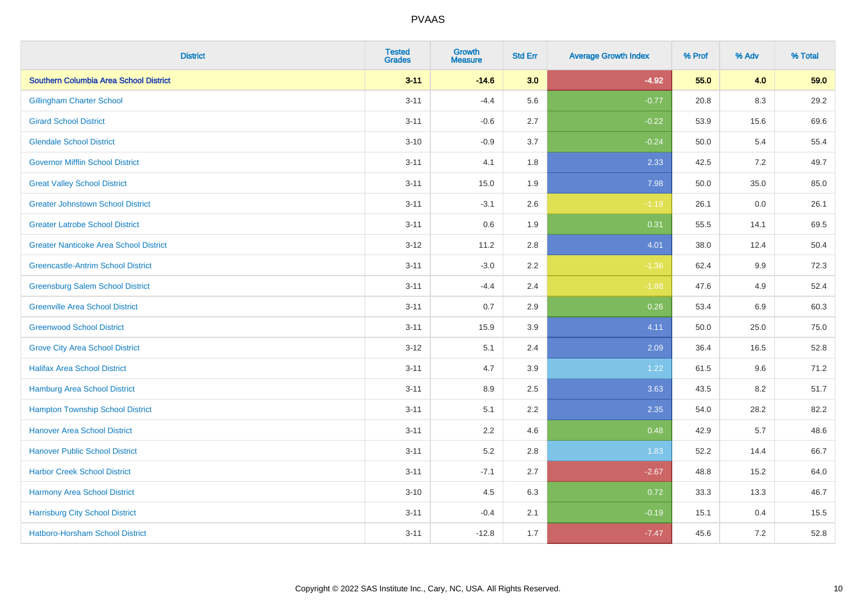| <b>District</b>                               | <b>Tested</b><br><b>Grades</b> | <b>Growth</b><br><b>Measure</b> | <b>Std Err</b> | <b>Average Growth Index</b> | % Prof | % Adv   | % Total |
|-----------------------------------------------|--------------------------------|---------------------------------|----------------|-----------------------------|--------|---------|---------|
| <b>Southern Columbia Area School District</b> | $3 - 11$                       | $-14.6$                         | 3.0            | $-4.92$                     | 55.0   | 4.0     | 59.0    |
| <b>Gillingham Charter School</b>              | $3 - 11$                       | $-4.4$                          | 5.6            | $-0.77$                     | 20.8   | 8.3     | 29.2    |
| <b>Girard School District</b>                 | $3 - 11$                       | $-0.6$                          | 2.7            | $-0.22$                     | 53.9   | 15.6    | 69.6    |
| <b>Glendale School District</b>               | $3 - 10$                       | $-0.9$                          | 3.7            | $-0.24$                     | 50.0   | 5.4     | 55.4    |
| <b>Governor Mifflin School District</b>       | $3 - 11$                       | 4.1                             | 1.8            | 2.33                        | 42.5   | 7.2     | 49.7    |
| <b>Great Valley School District</b>           | $3 - 11$                       | 15.0                            | 1.9            | 7.98                        | 50.0   | 35.0    | 85.0    |
| <b>Greater Johnstown School District</b>      | $3 - 11$                       | $-3.1$                          | 2.6            | $-1.19$                     | 26.1   | $0.0\,$ | 26.1    |
| <b>Greater Latrobe School District</b>        | $3 - 11$                       | 0.6                             | 1.9            | 0.31                        | 55.5   | 14.1    | 69.5    |
| <b>Greater Nanticoke Area School District</b> | $3 - 12$                       | 11.2                            | 2.8            | 4.01                        | 38.0   | 12.4    | 50.4    |
| <b>Greencastle-Antrim School District</b>     | $3 - 11$                       | $-3.0$                          | 2.2            | $-1.36$                     | 62.4   | 9.9     | 72.3    |
| <b>Greensburg Salem School District</b>       | $3 - 11$                       | $-4.4$                          | 2.4            | $-1.88$                     | 47.6   | 4.9     | 52.4    |
| <b>Greenville Area School District</b>        | $3 - 11$                       | 0.7                             | 2.9            | 0.26                        | 53.4   | 6.9     | 60.3    |
| <b>Greenwood School District</b>              | $3 - 11$                       | 15.9                            | 3.9            | 4.11                        | 50.0   | 25.0    | 75.0    |
| <b>Grove City Area School District</b>        | $3 - 12$                       | 5.1                             | 2.4            | 2.09                        | 36.4   | 16.5    | 52.8    |
| <b>Halifax Area School District</b>           | $3 - 11$                       | 4.7                             | 3.9            | 1.22                        | 61.5   | 9.6     | 71.2    |
| <b>Hamburg Area School District</b>           | $3 - 11$                       | 8.9                             | 2.5            | 3.63                        | 43.5   | 8.2     | 51.7    |
| <b>Hampton Township School District</b>       | $3 - 11$                       | 5.1                             | 2.2            | 2.35                        | 54.0   | 28.2    | 82.2    |
| <b>Hanover Area School District</b>           | $3 - 11$                       | 2.2                             | 4.6            | 0.48                        | 42.9   | 5.7     | 48.6    |
| <b>Hanover Public School District</b>         | $3 - 11$                       | 5.2                             | 2.8            | 1.83                        | 52.2   | 14.4    | 66.7    |
| <b>Harbor Creek School District</b>           | $3 - 11$                       | $-7.1$                          | 2.7            | $-2.67$                     | 48.8   | 15.2    | 64.0    |
| Harmony Area School District                  | $3 - 10$                       | 4.5                             | 6.3            | 0.72                        | 33.3   | 13.3    | 46.7    |
| <b>Harrisburg City School District</b>        | $3 - 11$                       | $-0.4$                          | 2.1            | $-0.19$                     | 15.1   | 0.4     | 15.5    |
| Hatboro-Horsham School District               | $3 - 11$                       | $-12.8$                         | 1.7            | $-7.47$                     | 45.6   | $7.2\,$ | 52.8    |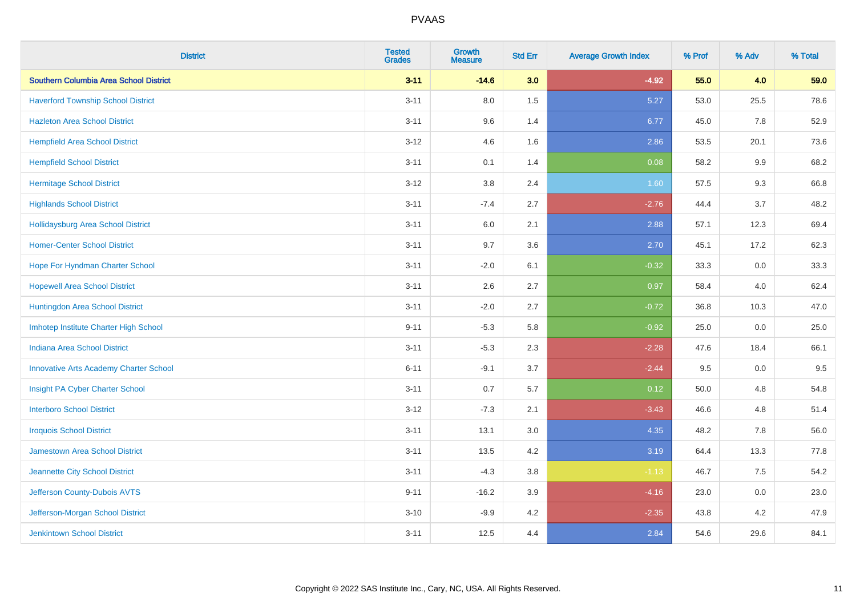| <b>District</b>                               | <b>Tested</b><br><b>Grades</b> | <b>Growth</b><br><b>Measure</b> | <b>Std Err</b> | <b>Average Growth Index</b> | % Prof | % Adv   | % Total |
|-----------------------------------------------|--------------------------------|---------------------------------|----------------|-----------------------------|--------|---------|---------|
| Southern Columbia Area School District        | $3 - 11$                       | $-14.6$                         | 3.0            | $-4.92$                     | 55.0   | 4.0     | 59.0    |
| <b>Haverford Township School District</b>     | $3 - 11$                       | 8.0                             | 1.5            | 5.27                        | 53.0   | 25.5    | 78.6    |
| <b>Hazleton Area School District</b>          | $3 - 11$                       | 9.6                             | 1.4            | 6.77                        | 45.0   | 7.8     | 52.9    |
| <b>Hempfield Area School District</b>         | $3 - 12$                       | 4.6                             | 1.6            | 2.86                        | 53.5   | 20.1    | 73.6    |
| <b>Hempfield School District</b>              | $3 - 11$                       | 0.1                             | 1.4            | 0.08                        | 58.2   | 9.9     | 68.2    |
| <b>Hermitage School District</b>              | $3 - 12$                       | 3.8                             | 2.4            | 1.60                        | 57.5   | 9.3     | 66.8    |
| <b>Highlands School District</b>              | $3 - 11$                       | $-7.4$                          | 2.7            | $-2.76$                     | 44.4   | 3.7     | 48.2    |
| <b>Hollidaysburg Area School District</b>     | $3 - 11$                       | 6.0                             | 2.1            | 2.88                        | 57.1   | 12.3    | 69.4    |
| <b>Homer-Center School District</b>           | $3 - 11$                       | 9.7                             | 3.6            | 2.70                        | 45.1   | 17.2    | 62.3    |
| Hope For Hyndman Charter School               | $3 - 11$                       | $-2.0$                          | 6.1            | $-0.32$                     | 33.3   | 0.0     | 33.3    |
| <b>Hopewell Area School District</b>          | $3 - 11$                       | 2.6                             | 2.7            | 0.97                        | 58.4   | 4.0     | 62.4    |
| Huntingdon Area School District               | $3 - 11$                       | $-2.0$                          | 2.7            | $-0.72$                     | 36.8   | 10.3    | 47.0    |
| Imhotep Institute Charter High School         | $9 - 11$                       | $-5.3$                          | 5.8            | $-0.92$                     | 25.0   | $0.0\,$ | 25.0    |
| Indiana Area School District                  | $3 - 11$                       | $-5.3$                          | 2.3            | $-2.28$                     | 47.6   | 18.4    | 66.1    |
| <b>Innovative Arts Academy Charter School</b> | $6 - 11$                       | $-9.1$                          | 3.7            | $-2.44$                     | 9.5    | $0.0\,$ | 9.5     |
| Insight PA Cyber Charter School               | $3 - 11$                       | 0.7                             | 5.7            | 0.12                        | 50.0   | 4.8     | 54.8    |
| <b>Interboro School District</b>              | $3 - 12$                       | $-7.3$                          | 2.1            | $-3.43$                     | 46.6   | 4.8     | 51.4    |
| <b>Iroquois School District</b>               | $3 - 11$                       | 13.1                            | 3.0            | 4.35                        | 48.2   | 7.8     | 56.0    |
| <b>Jamestown Area School District</b>         | $3 - 11$                       | 13.5                            | 4.2            | 3.19                        | 64.4   | 13.3    | 77.8    |
| Jeannette City School District                | $3 - 11$                       | $-4.3$                          | $3.8\,$        | $-1.13$                     | 46.7   | 7.5     | 54.2    |
| Jefferson County-Dubois AVTS                  | $9 - 11$                       | $-16.2$                         | 3.9            | $-4.16$                     | 23.0   | 0.0     | 23.0    |
| Jefferson-Morgan School District              | $3 - 10$                       | $-9.9$                          | 4.2            | $-2.35$                     | 43.8   | 4.2     | 47.9    |
| <b>Jenkintown School District</b>             | $3 - 11$                       | 12.5                            | 4.4            | 2.84                        | 54.6   | 29.6    | 84.1    |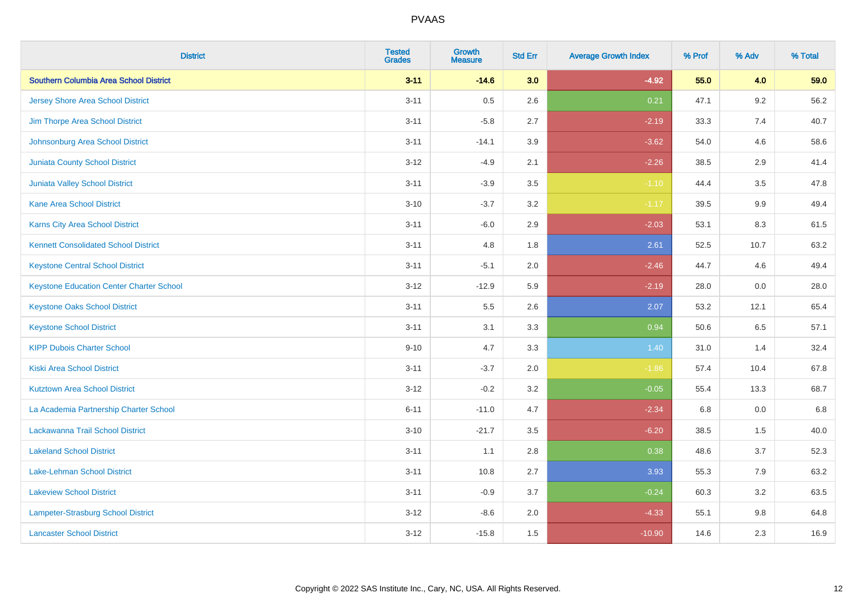| <b>District</b>                                 | <b>Tested</b><br><b>Grades</b> | <b>Growth</b><br><b>Measure</b> | <b>Std Err</b> | <b>Average Growth Index</b> | % Prof | % Adv   | % Total |
|-------------------------------------------------|--------------------------------|---------------------------------|----------------|-----------------------------|--------|---------|---------|
| Southern Columbia Area School District          | $3 - 11$                       | $-14.6$                         | 3.0            | $-4.92$                     | 55.0   | 4.0     | 59.0    |
| <b>Jersey Shore Area School District</b>        | $3 - 11$                       | 0.5                             | 2.6            | 0.21                        | 47.1   | $9.2\,$ | 56.2    |
| Jim Thorpe Area School District                 | $3 - 11$                       | $-5.8$                          | 2.7            | $-2.19$                     | 33.3   | 7.4     | 40.7    |
| Johnsonburg Area School District                | $3 - 11$                       | $-14.1$                         | 3.9            | $-3.62$                     | 54.0   | 4.6     | 58.6    |
| <b>Juniata County School District</b>           | $3 - 12$                       | $-4.9$                          | 2.1            | $-2.26$                     | 38.5   | 2.9     | 41.4    |
| <b>Juniata Valley School District</b>           | $3 - 11$                       | $-3.9$                          | 3.5            | $-1.10$                     | 44.4   | 3.5     | 47.8    |
| <b>Kane Area School District</b>                | $3 - 10$                       | $-3.7$                          | 3.2            | $-1.17$                     | 39.5   | 9.9     | 49.4    |
| <b>Karns City Area School District</b>          | $3 - 11$                       | $-6.0$                          | 2.9            | $-2.03$                     | 53.1   | 8.3     | 61.5    |
| <b>Kennett Consolidated School District</b>     | $3 - 11$                       | 4.8                             | 1.8            | 2.61                        | 52.5   | 10.7    | 63.2    |
| <b>Keystone Central School District</b>         | $3 - 11$                       | $-5.1$                          | 2.0            | $-2.46$                     | 44.7   | 4.6     | 49.4    |
| <b>Keystone Education Center Charter School</b> | $3 - 12$                       | $-12.9$                         | 5.9            | $-2.19$                     | 28.0   | 0.0     | 28.0    |
| <b>Keystone Oaks School District</b>            | $3 - 11$                       | 5.5                             | 2.6            | 2.07                        | 53.2   | 12.1    | 65.4    |
| <b>Keystone School District</b>                 | $3 - 11$                       | 3.1                             | 3.3            | 0.94                        | 50.6   | $6.5\,$ | 57.1    |
| <b>KIPP Dubois Charter School</b>               | $9 - 10$                       | 4.7                             | 3.3            | 1.40                        | 31.0   | 1.4     | 32.4    |
| <b>Kiski Area School District</b>               | $3 - 11$                       | $-3.7$                          | 2.0            | $-1.86$                     | 57.4   | 10.4    | 67.8    |
| <b>Kutztown Area School District</b>            | $3 - 12$                       | $-0.2$                          | 3.2            | $-0.05$                     | 55.4   | 13.3    | 68.7    |
| La Academia Partnership Charter School          | $6 - 11$                       | $-11.0$                         | 4.7            | $-2.34$                     | 6.8    | 0.0     | 6.8     |
| Lackawanna Trail School District                | $3 - 10$                       | $-21.7$                         | 3.5            | $-6.20$                     | 38.5   | 1.5     | 40.0    |
| <b>Lakeland School District</b>                 | $3 - 11$                       | 1.1                             | 2.8            | 0.38                        | 48.6   | 3.7     | 52.3    |
| Lake-Lehman School District                     | $3 - 11$                       | 10.8                            | 2.7            | 3.93                        | 55.3   | 7.9     | 63.2    |
| <b>Lakeview School District</b>                 | $3 - 11$                       | $-0.9$                          | 3.7            | $-0.24$                     | 60.3   | 3.2     | 63.5    |
| Lampeter-Strasburg School District              | $3 - 12$                       | $-8.6$                          | 2.0            | $-4.33$                     | 55.1   | 9.8     | 64.8    |
| <b>Lancaster School District</b>                | $3 - 12$                       | $-15.8$                         | 1.5            | $-10.90$                    | 14.6   | 2.3     | 16.9    |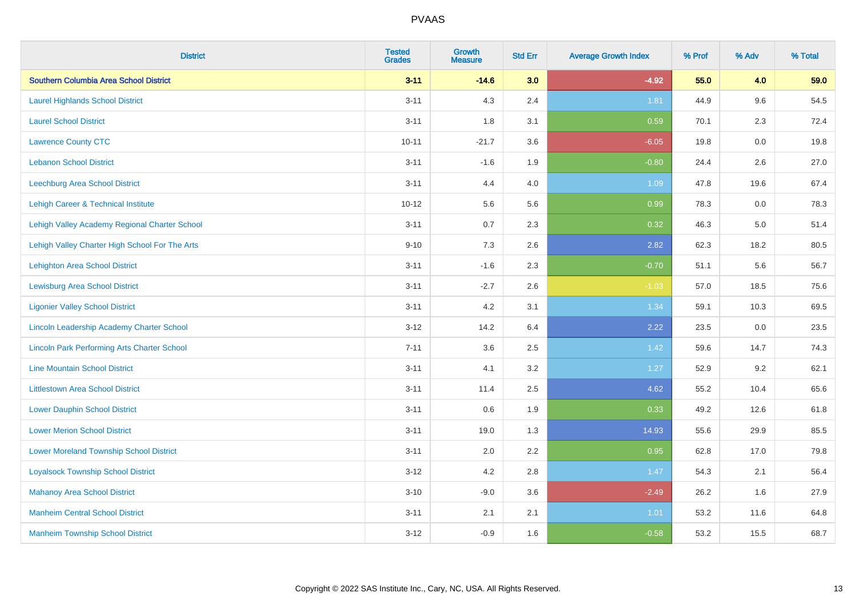| <b>District</b>                                    | <b>Tested</b><br><b>Grades</b> | <b>Growth</b><br><b>Measure</b> | <b>Std Err</b> | <b>Average Growth Index</b> | % Prof | % Adv   | % Total |
|----------------------------------------------------|--------------------------------|---------------------------------|----------------|-----------------------------|--------|---------|---------|
| Southern Columbia Area School District             | $3 - 11$                       | $-14.6$                         | 3.0            | $-4.92$                     | 55.0   | 4.0     | 59.0    |
| <b>Laurel Highlands School District</b>            | $3 - 11$                       | 4.3                             | 2.4            | 1.81                        | 44.9   | 9.6     | 54.5    |
| <b>Laurel School District</b>                      | $3 - 11$                       | 1.8                             | 3.1            | 0.59                        | 70.1   | 2.3     | 72.4    |
| <b>Lawrence County CTC</b>                         | $10 - 11$                      | $-21.7$                         | 3.6            | $-6.05$                     | 19.8   | $0.0\,$ | 19.8    |
| <b>Lebanon School District</b>                     | $3 - 11$                       | $-1.6$                          | 1.9            | $-0.80$                     | 24.4   | 2.6     | 27.0    |
| Leechburg Area School District                     | $3 - 11$                       | 4.4                             | 4.0            | 1.09                        | 47.8   | 19.6    | 67.4    |
| Lehigh Career & Technical Institute                | $10 - 12$                      | 5.6                             | 5.6            | 0.99                        | 78.3   | 0.0     | 78.3    |
| Lehigh Valley Academy Regional Charter School      | $3 - 11$                       | 0.7                             | 2.3            | 0.32                        | 46.3   | 5.0     | 51.4    |
| Lehigh Valley Charter High School For The Arts     | $9 - 10$                       | 7.3                             | 2.6            | 2.82                        | 62.3   | 18.2    | 80.5    |
| <b>Lehighton Area School District</b>              | $3 - 11$                       | $-1.6$                          | 2.3            | $-0.70$                     | 51.1   | 5.6     | 56.7    |
| <b>Lewisburg Area School District</b>              | $3 - 11$                       | $-2.7$                          | 2.6            | $-1.03$                     | 57.0   | 18.5    | 75.6    |
| <b>Ligonier Valley School District</b>             | $3 - 11$                       | 4.2                             | 3.1            | 1.34                        | 59.1   | 10.3    | 69.5    |
| Lincoln Leadership Academy Charter School          | $3 - 12$                       | 14.2                            | 6.4            | 2.22                        | 23.5   | 0.0     | 23.5    |
| <b>Lincoln Park Performing Arts Charter School</b> | $7 - 11$                       | 3.6                             | 2.5            | 1.42                        | 59.6   | 14.7    | 74.3    |
| <b>Line Mountain School District</b>               | $3 - 11$                       | 4.1                             | 3.2            | 1.27                        | 52.9   | 9.2     | 62.1    |
| <b>Littlestown Area School District</b>            | $3 - 11$                       | 11.4                            | 2.5            | 4.62                        | 55.2   | 10.4    | 65.6    |
| <b>Lower Dauphin School District</b>               | $3 - 11$                       | 0.6                             | 1.9            | 0.33                        | 49.2   | 12.6    | 61.8    |
| <b>Lower Merion School District</b>                | $3 - 11$                       | 19.0                            | 1.3            | 14.93                       | 55.6   | 29.9    | 85.5    |
| <b>Lower Moreland Township School District</b>     | $3 - 11$                       | 2.0                             | 2.2            | 0.95                        | 62.8   | 17.0    | 79.8    |
| <b>Loyalsock Township School District</b>          | $3 - 12$                       | 4.2                             | 2.8            | 1.47                        | 54.3   | 2.1     | 56.4    |
| <b>Mahanoy Area School District</b>                | $3 - 10$                       | $-9.0$                          | 3.6            | $-2.49$                     | 26.2   | 1.6     | 27.9    |
| <b>Manheim Central School District</b>             | $3 - 11$                       | 2.1                             | 2.1            | 1.01                        | 53.2   | 11.6    | 64.8    |
| <b>Manheim Township School District</b>            | $3 - 12$                       | $-0.9$                          | 1.6            | $-0.58$                     | 53.2   | 15.5    | 68.7    |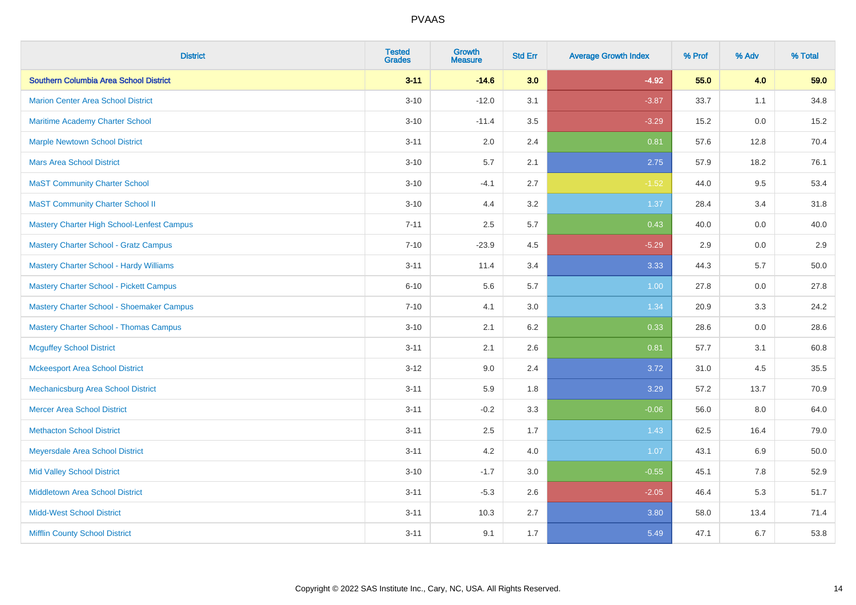| <b>District</b>                                | <b>Tested</b><br><b>Grades</b> | <b>Growth</b><br><b>Measure</b> | <b>Std Err</b> | <b>Average Growth Index</b> | % Prof | % Adv | % Total |
|------------------------------------------------|--------------------------------|---------------------------------|----------------|-----------------------------|--------|-------|---------|
| <b>Southern Columbia Area School District</b>  | $3 - 11$                       | $-14.6$                         | 3.0            | $-4.92$                     | 55.0   | 4.0   | 59.0    |
| <b>Marion Center Area School District</b>      | $3 - 10$                       | $-12.0$                         | 3.1            | $-3.87$                     | 33.7   | 1.1   | 34.8    |
| Maritime Academy Charter School                | $3 - 10$                       | $-11.4$                         | 3.5            | $-3.29$                     | 15.2   | 0.0   | 15.2    |
| <b>Marple Newtown School District</b>          | $3 - 11$                       | 2.0                             | 2.4            | 0.81                        | 57.6   | 12.8  | 70.4    |
| <b>Mars Area School District</b>               | $3 - 10$                       | 5.7                             | 2.1            | 2.75                        | 57.9   | 18.2  | 76.1    |
| <b>MaST Community Charter School</b>           | $3 - 10$                       | $-4.1$                          | 2.7            | $-1.52$                     | 44.0   | 9.5   | 53.4    |
| <b>MaST Community Charter School II</b>        | $3 - 10$                       | 4.4                             | 3.2            | 1.37                        | 28.4   | 3.4   | 31.8    |
| Mastery Charter High School-Lenfest Campus     | $7 - 11$                       | 2.5                             | 5.7            | 0.43                        | 40.0   | 0.0   | 40.0    |
| <b>Mastery Charter School - Gratz Campus</b>   | $7 - 10$                       | $-23.9$                         | 4.5            | $-5.29$                     | 2.9    | 0.0   | 2.9     |
| <b>Mastery Charter School - Hardy Williams</b> | $3 - 11$                       | 11.4                            | 3.4            | 3.33                        | 44.3   | 5.7   | 50.0    |
| <b>Mastery Charter School - Pickett Campus</b> | $6 - 10$                       | 5.6                             | 5.7            | 1.00                        | 27.8   | 0.0   | 27.8    |
| Mastery Charter School - Shoemaker Campus      | $7 - 10$                       | 4.1                             | 3.0            | 1.34                        | 20.9   | 3.3   | 24.2    |
| <b>Mastery Charter School - Thomas Campus</b>  | $3 - 10$                       | 2.1                             | 6.2            | 0.33                        | 28.6   | 0.0   | 28.6    |
| <b>Mcguffey School District</b>                | $3 - 11$                       | 2.1                             | 2.6            | 0.81                        | 57.7   | 3.1   | 60.8    |
| <b>Mckeesport Area School District</b>         | $3 - 12$                       | 9.0                             | 2.4            | 3.72                        | 31.0   | 4.5   | 35.5    |
| Mechanicsburg Area School District             | $3 - 11$                       | 5.9                             | 1.8            | 3.29                        | 57.2   | 13.7  | 70.9    |
| <b>Mercer Area School District</b>             | $3 - 11$                       | $-0.2$                          | 3.3            | $-0.06$                     | 56.0   | 8.0   | 64.0    |
| <b>Methacton School District</b>               | $3 - 11$                       | 2.5                             | 1.7            | 1.43                        | 62.5   | 16.4  | 79.0    |
| Meyersdale Area School District                | $3 - 11$                       | 4.2                             | 4.0            | 1.07                        | 43.1   | 6.9   | 50.0    |
| <b>Mid Valley School District</b>              | $3 - 10$                       | $-1.7$                          | 3.0            | $-0.55$                     | 45.1   | 7.8   | 52.9    |
| Middletown Area School District                | $3 - 11$                       | $-5.3$                          | 2.6            | $-2.05$                     | 46.4   | 5.3   | 51.7    |
| <b>Midd-West School District</b>               | $3 - 11$                       | 10.3                            | 2.7            | 3.80                        | 58.0   | 13.4  | 71.4    |
| <b>Mifflin County School District</b>          | $3 - 11$                       | 9.1                             | 1.7            | 5.49                        | 47.1   | 6.7   | 53.8    |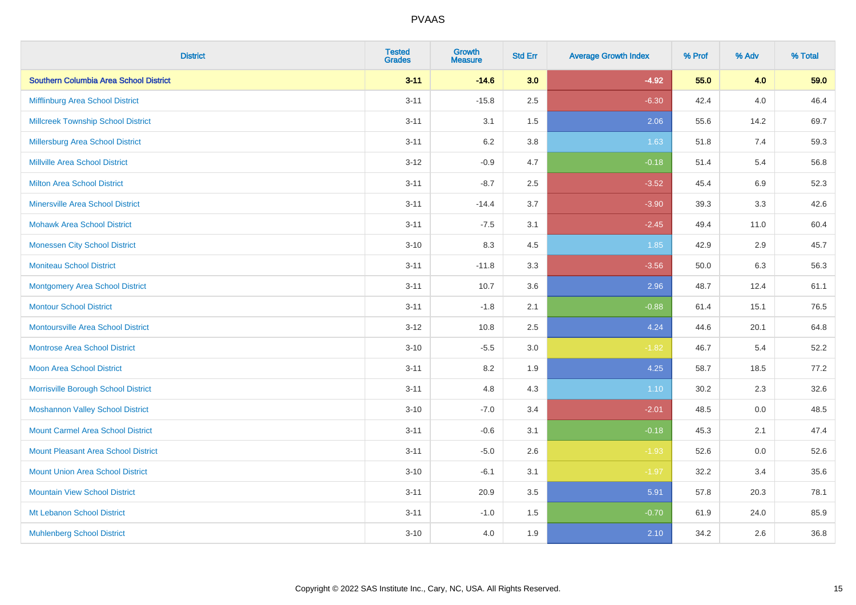| <b>District</b>                               | <b>Tested</b><br><b>Grades</b> | Growth<br><b>Measure</b> | <b>Std Err</b> | <b>Average Growth Index</b> | % Prof | % Adv   | % Total |
|-----------------------------------------------|--------------------------------|--------------------------|----------------|-----------------------------|--------|---------|---------|
| <b>Southern Columbia Area School District</b> | $3 - 11$                       | $-14.6$                  | 3.0            | $-4.92$                     | 55.0   | 4.0     | 59.0    |
| Mifflinburg Area School District              | $3 - 11$                       | $-15.8$                  | 2.5            | $-6.30$                     | 42.4   | 4.0     | 46.4    |
| <b>Millcreek Township School District</b>     | $3 - 11$                       | 3.1                      | 1.5            | 2.06                        | 55.6   | 14.2    | 69.7    |
| Millersburg Area School District              | $3 - 11$                       | 6.2                      | 3.8            | 1.63                        | 51.8   | 7.4     | 59.3    |
| <b>Millville Area School District</b>         | $3 - 12$                       | $-0.9$                   | 4.7            | $-0.18$                     | 51.4   | 5.4     | 56.8    |
| <b>Milton Area School District</b>            | $3 - 11$                       | $-8.7$                   | 2.5            | $-3.52$                     | 45.4   | $6.9\,$ | 52.3    |
| <b>Minersville Area School District</b>       | $3 - 11$                       | $-14.4$                  | 3.7            | $-3.90$                     | 39.3   | 3.3     | 42.6    |
| <b>Mohawk Area School District</b>            | $3 - 11$                       | $-7.5$                   | 3.1            | $-2.45$                     | 49.4   | 11.0    | 60.4    |
| <b>Monessen City School District</b>          | $3 - 10$                       | 8.3                      | 4.5            | 1.85                        | 42.9   | 2.9     | 45.7    |
| <b>Moniteau School District</b>               | $3 - 11$                       | $-11.8$                  | 3.3            | $-3.56$                     | 50.0   | 6.3     | 56.3    |
| <b>Montgomery Area School District</b>        | $3 - 11$                       | 10.7                     | 3.6            | 2.96                        | 48.7   | 12.4    | 61.1    |
| <b>Montour School District</b>                | $3 - 11$                       | $-1.8$                   | 2.1            | $-0.88$                     | 61.4   | 15.1    | 76.5    |
| Montoursville Area School District            | $3 - 12$                       | 10.8                     | 2.5            | 4.24                        | 44.6   | 20.1    | 64.8    |
| <b>Montrose Area School District</b>          | $3 - 10$                       | $-5.5$                   | 3.0            | $-1.82$                     | 46.7   | 5.4     | 52.2    |
| <b>Moon Area School District</b>              | $3 - 11$                       | 8.2                      | 1.9            | 4.25                        | 58.7   | 18.5    | 77.2    |
| Morrisville Borough School District           | $3 - 11$                       | 4.8                      | 4.3            | 1.10                        | 30.2   | 2.3     | 32.6    |
| <b>Moshannon Valley School District</b>       | $3 - 10$                       | $-7.0$                   | 3.4            | $-2.01$                     | 48.5   | 0.0     | 48.5    |
| <b>Mount Carmel Area School District</b>      | $3 - 11$                       | $-0.6$                   | 3.1            | $-0.18$                     | 45.3   | 2.1     | 47.4    |
| <b>Mount Pleasant Area School District</b>    | $3 - 11$                       | $-5.0$                   | 2.6            | $-1.93$                     | 52.6   | 0.0     | 52.6    |
| <b>Mount Union Area School District</b>       | $3 - 10$                       | $-6.1$                   | 3.1            | $-1.97$                     | 32.2   | 3.4     | 35.6    |
| <b>Mountain View School District</b>          | $3 - 11$                       | 20.9                     | 3.5            | 5.91                        | 57.8   | 20.3    | 78.1    |
| Mt Lebanon School District                    | $3 - 11$                       | $-1.0$                   | 1.5            | $-0.70$                     | 61.9   | 24.0    | 85.9    |
| <b>Muhlenberg School District</b>             | $3 - 10$                       | 4.0                      | 1.9            | 2.10                        | 34.2   | 2.6     | 36.8    |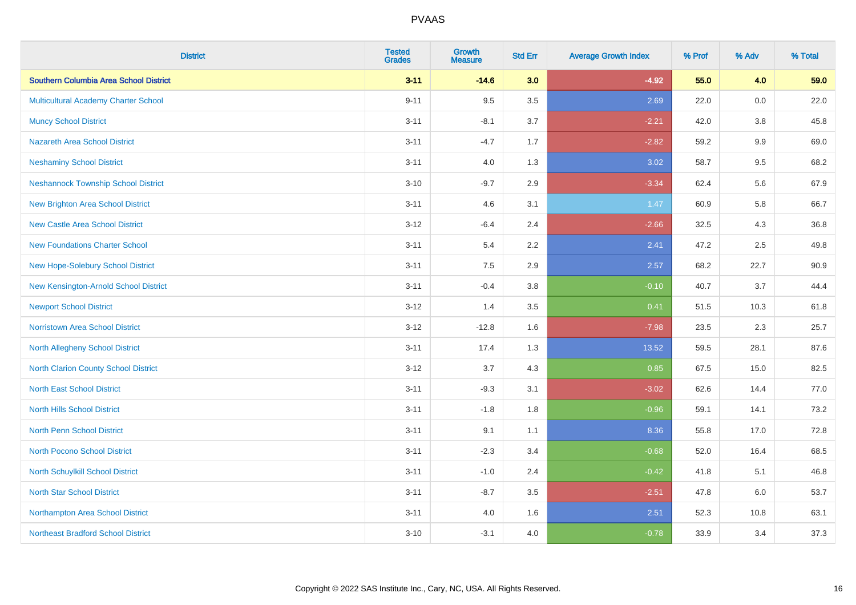| <b>District</b>                             | <b>Tested</b><br><b>Grades</b> | <b>Growth</b><br><b>Measure</b> | <b>Std Err</b> | <b>Average Growth Index</b> | % Prof | % Adv   | % Total |
|---------------------------------------------|--------------------------------|---------------------------------|----------------|-----------------------------|--------|---------|---------|
| Southern Columbia Area School District      | $3 - 11$                       | $-14.6$                         | 3.0            | $-4.92$                     | 55.0   | 4.0     | 59.0    |
| Multicultural Academy Charter School        | $9 - 11$                       | 9.5                             | 3.5            | 2.69                        | 22.0   | 0.0     | 22.0    |
| <b>Muncy School District</b>                | $3 - 11$                       | $-8.1$                          | 3.7            | $-2.21$                     | 42.0   | 3.8     | 45.8    |
| <b>Nazareth Area School District</b>        | $3 - 11$                       | $-4.7$                          | 1.7            | $-2.82$                     | 59.2   | $9.9\,$ | 69.0    |
| <b>Neshaminy School District</b>            | $3 - 11$                       | 4.0                             | 1.3            | 3.02                        | 58.7   | 9.5     | 68.2    |
| <b>Neshannock Township School District</b>  | $3 - 10$                       | $-9.7$                          | 2.9            | $-3.34$                     | 62.4   | 5.6     | 67.9    |
| <b>New Brighton Area School District</b>    | $3 - 11$                       | 4.6                             | 3.1            | 1.47                        | 60.9   | 5.8     | 66.7    |
| <b>New Castle Area School District</b>      | $3 - 12$                       | $-6.4$                          | 2.4            | $-2.66$                     | 32.5   | 4.3     | 36.8    |
| <b>New Foundations Charter School</b>       | $3 - 11$                       | 5.4                             | 2.2            | 2.41                        | 47.2   | 2.5     | 49.8    |
| New Hope-Solebury School District           | $3 - 11$                       | 7.5                             | 2.9            | 2.57                        | 68.2   | 22.7    | 90.9    |
| New Kensington-Arnold School District       | $3 - 11$                       | $-0.4$                          | 3.8            | $-0.10$                     | 40.7   | 3.7     | 44.4    |
| <b>Newport School District</b>              | $3 - 12$                       | 1.4                             | 3.5            | 0.41                        | 51.5   | 10.3    | 61.8    |
| Norristown Area School District             | $3-12$                         | $-12.8$                         | 1.6            | $-7.98$                     | 23.5   | 2.3     | 25.7    |
| <b>North Allegheny School District</b>      | $3 - 11$                       | 17.4                            | 1.3            | 13.52                       | 59.5   | 28.1    | 87.6    |
| <b>North Clarion County School District</b> | $3 - 12$                       | 3.7                             | 4.3            | 0.85                        | 67.5   | 15.0    | 82.5    |
| <b>North East School District</b>           | $3 - 11$                       | $-9.3$                          | 3.1            | $-3.02$                     | 62.6   | 14.4    | 77.0    |
| <b>North Hills School District</b>          | $3 - 11$                       | $-1.8$                          | 1.8            | $-0.96$                     | 59.1   | 14.1    | 73.2    |
| <b>North Penn School District</b>           | $3 - 11$                       | 9.1                             | 1.1            | 8.36                        | 55.8   | 17.0    | 72.8    |
| North Pocono School District                | $3 - 11$                       | $-2.3$                          | 3.4            | $-0.68$                     | 52.0   | 16.4    | 68.5    |
| North Schuylkill School District            | $3 - 11$                       | $-1.0$                          | 2.4            | $-0.42$                     | 41.8   | 5.1     | 46.8    |
| <b>North Star School District</b>           | $3 - 11$                       | $-8.7$                          | 3.5            | $-2.51$                     | 47.8   | 6.0     | 53.7    |
| Northampton Area School District            | $3 - 11$                       | 4.0                             | 1.6            | 2.51                        | 52.3   | 10.8    | 63.1    |
| <b>Northeast Bradford School District</b>   | $3 - 10$                       | $-3.1$                          | 4.0            | $-0.78$                     | 33.9   | 3.4     | 37.3    |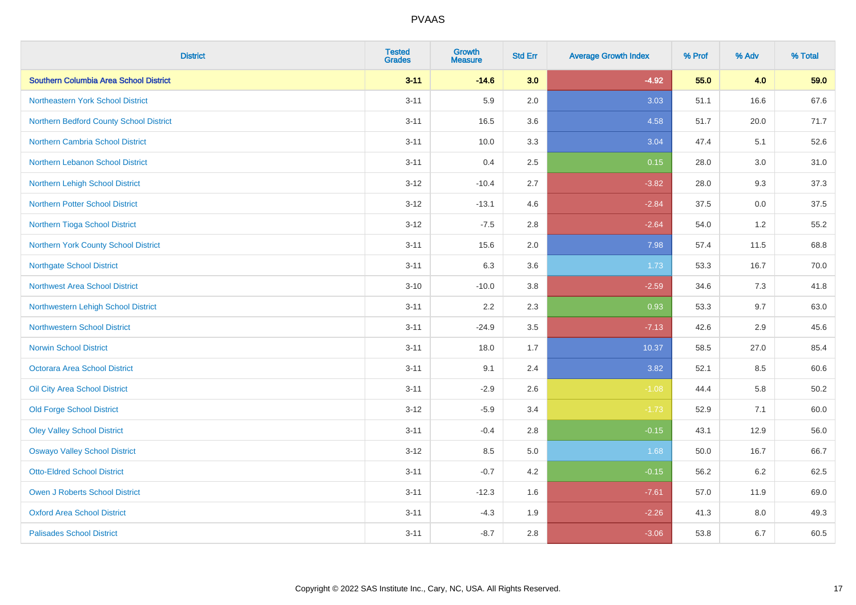| <b>District</b>                         | <b>Tested</b><br><b>Grades</b> | <b>Growth</b><br><b>Measure</b> | <b>Std Err</b> | <b>Average Growth Index</b> | % Prof | % Adv | % Total |
|-----------------------------------------|--------------------------------|---------------------------------|----------------|-----------------------------|--------|-------|---------|
| Southern Columbia Area School District  | $3 - 11$                       | $-14.6$                         | 3.0            | $-4.92$                     | 55.0   | 4.0   | 59.0    |
| Northeastern York School District       | $3 - 11$                       | 5.9                             | 2.0            | 3.03                        | 51.1   | 16.6  | 67.6    |
| Northern Bedford County School District | $3 - 11$                       | 16.5                            | 3.6            | 4.58                        | 51.7   | 20.0  | 71.7    |
| Northern Cambria School District        | $3 - 11$                       | 10.0                            | 3.3            | 3.04                        | 47.4   | 5.1   | 52.6    |
| <b>Northern Lebanon School District</b> | $3 - 11$                       | 0.4                             | 2.5            | 0.15                        | 28.0   | 3.0   | 31.0    |
| Northern Lehigh School District         | $3 - 12$                       | $-10.4$                         | 2.7            | $-3.82$                     | 28.0   | 9.3   | 37.3    |
| <b>Northern Potter School District</b>  | $3 - 12$                       | $-13.1$                         | 4.6            | $-2.84$                     | 37.5   | 0.0   | 37.5    |
| Northern Tioga School District          | $3 - 12$                       | $-7.5$                          | 2.8            | $-2.64$                     | 54.0   | 1.2   | 55.2    |
| Northern York County School District    | $3 - 11$                       | 15.6                            | 2.0            | 7.98                        | 57.4   | 11.5  | 68.8    |
| <b>Northgate School District</b>        | $3 - 11$                       | 6.3                             | 3.6            | 1.73                        | 53.3   | 16.7  | 70.0    |
| Northwest Area School District          | $3 - 10$                       | $-10.0$                         | 3.8            | $-2.59$                     | 34.6   | 7.3   | 41.8    |
| Northwestern Lehigh School District     | $3 - 11$                       | 2.2                             | 2.3            | 0.93                        | 53.3   | 9.7   | 63.0    |
| <b>Northwestern School District</b>     | $3 - 11$                       | $-24.9$                         | 3.5            | $-7.13$                     | 42.6   | 2.9   | 45.6    |
| <b>Norwin School District</b>           | $3 - 11$                       | 18.0                            | 1.7            | 10.37                       | 58.5   | 27.0  | 85.4    |
| Octorara Area School District           | $3 - 11$                       | 9.1                             | 2.4            | 3.82                        | 52.1   | 8.5   | 60.6    |
| Oil City Area School District           | $3 - 11$                       | $-2.9$                          | 2.6            | $-1.08$                     | 44.4   | 5.8   | 50.2    |
| <b>Old Forge School District</b>        | $3 - 12$                       | $-5.9$                          | 3.4            | $-1.73$                     | 52.9   | 7.1   | 60.0    |
| <b>Oley Valley School District</b>      | $3 - 11$                       | $-0.4$                          | 2.8            | $-0.15$                     | 43.1   | 12.9  | 56.0    |
| <b>Oswayo Valley School District</b>    | $3 - 12$                       | 8.5                             | 5.0            | 1.68                        | 50.0   | 16.7  | 66.7    |
| <b>Otto-Eldred School District</b>      | $3 - 11$                       | $-0.7$                          | 4.2            | $-0.15$                     | 56.2   | 6.2   | 62.5    |
| <b>Owen J Roberts School District</b>   | $3 - 11$                       | $-12.3$                         | 1.6            | $-7.61$                     | 57.0   | 11.9  | 69.0    |
| <b>Oxford Area School District</b>      | $3 - 11$                       | $-4.3$                          | 1.9            | $-2.26$                     | 41.3   | 8.0   | 49.3    |
| <b>Palisades School District</b>        | $3 - 11$                       | $-8.7$                          | 2.8            | $-3.06$                     | 53.8   | 6.7   | 60.5    |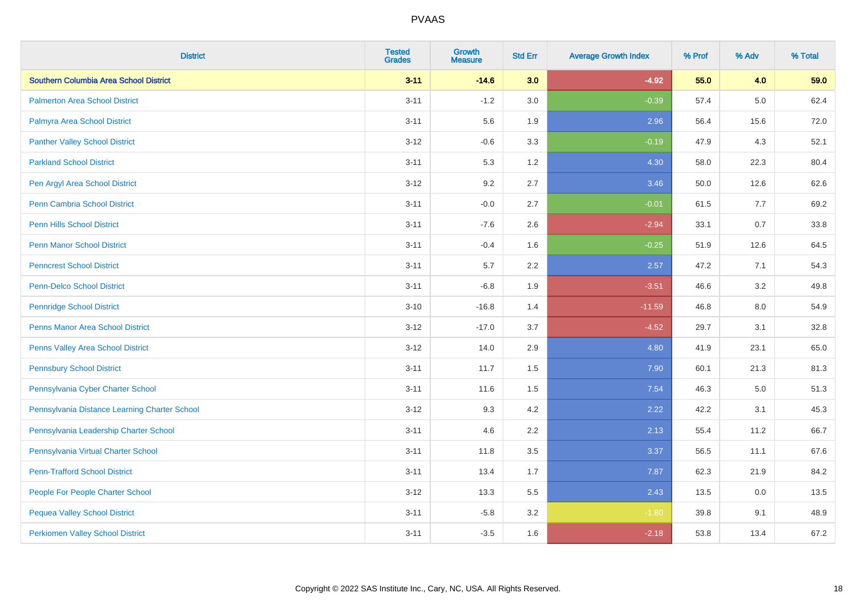| <b>District</b>                               | <b>Tested</b><br><b>Grades</b> | <b>Growth</b><br><b>Measure</b> | <b>Std Err</b> | <b>Average Growth Index</b> | % Prof | % Adv   | % Total |
|-----------------------------------------------|--------------------------------|---------------------------------|----------------|-----------------------------|--------|---------|---------|
| Southern Columbia Area School District        | $3 - 11$                       | $-14.6$                         | 3.0            | $-4.92$                     | 55.0   | 4.0     | 59.0    |
| <b>Palmerton Area School District</b>         | $3 - 11$                       | $-1.2$                          | 3.0            | $-0.39$                     | 57.4   | $5.0\,$ | 62.4    |
| Palmyra Area School District                  | $3 - 11$                       | 5.6                             | 1.9            | 2.96                        | 56.4   | 15.6    | 72.0    |
| <b>Panther Valley School District</b>         | $3 - 12$                       | $-0.6$                          | 3.3            | $-0.19$                     | 47.9   | 4.3     | 52.1    |
| <b>Parkland School District</b>               | $3 - 11$                       | 5.3                             | 1.2            | 4.30                        | 58.0   | 22.3    | 80.4    |
| Pen Argyl Area School District                | $3 - 12$                       | 9.2                             | 2.7            | 3.46                        | 50.0   | 12.6    | 62.6    |
| Penn Cambria School District                  | $3 - 11$                       | $-0.0$                          | 2.7            | $-0.01$                     | 61.5   | 7.7     | 69.2    |
| <b>Penn Hills School District</b>             | $3 - 11$                       | $-7.6$                          | 2.6            | $-2.94$                     | 33.1   | 0.7     | 33.8    |
| <b>Penn Manor School District</b>             | $3 - 11$                       | $-0.4$                          | 1.6            | $-0.25$                     | 51.9   | 12.6    | 64.5    |
| <b>Penncrest School District</b>              | $3 - 11$                       | 5.7                             | 2.2            | 2.57                        | 47.2   | 7.1     | 54.3    |
| <b>Penn-Delco School District</b>             | $3 - 11$                       | $-6.8$                          | 1.9            | $-3.51$                     | 46.6   | 3.2     | 49.8    |
| <b>Pennridge School District</b>              | $3 - 10$                       | $-16.8$                         | 1.4            | $-11.59$                    | 46.8   | 8.0     | 54.9    |
| Penns Manor Area School District              | $3 - 12$                       | $-17.0$                         | 3.7            | $-4.52$                     | 29.7   | 3.1     | 32.8    |
| Penns Valley Area School District             | $3 - 12$                       | 14.0                            | 2.9            | 4.80                        | 41.9   | 23.1    | 65.0    |
| <b>Pennsbury School District</b>              | $3 - 11$                       | 11.7                            | 1.5            | 7.90                        | 60.1   | 21.3    | 81.3    |
| Pennsylvania Cyber Charter School             | $3 - 11$                       | 11.6                            | 1.5            | 7.54                        | 46.3   | 5.0     | 51.3    |
| Pennsylvania Distance Learning Charter School | $3 - 12$                       | 9.3                             | 4.2            | 2.22                        | 42.2   | 3.1     | 45.3    |
| Pennsylvania Leadership Charter School        | $3 - 11$                       | 4.6                             | 2.2            | 2.13                        | 55.4   | 11.2    | 66.7    |
| Pennsylvania Virtual Charter School           | $3 - 11$                       | 11.8                            | 3.5            | 3.37                        | 56.5   | 11.1    | 67.6    |
| <b>Penn-Trafford School District</b>          | $3 - 11$                       | 13.4                            | 1.7            | 7.87                        | 62.3   | 21.9    | 84.2    |
| People For People Charter School              | $3 - 12$                       | 13.3                            | 5.5            | 2.43                        | 13.5   | 0.0     | 13.5    |
| <b>Pequea Valley School District</b>          | $3 - 11$                       | $-5.8$                          | 3.2            | $-1.80$                     | 39.8   | 9.1     | 48.9    |
| <b>Perkiomen Valley School District</b>       | $3 - 11$                       | $-3.5$                          | 1.6            | $-2.18$                     | 53.8   | 13.4    | 67.2    |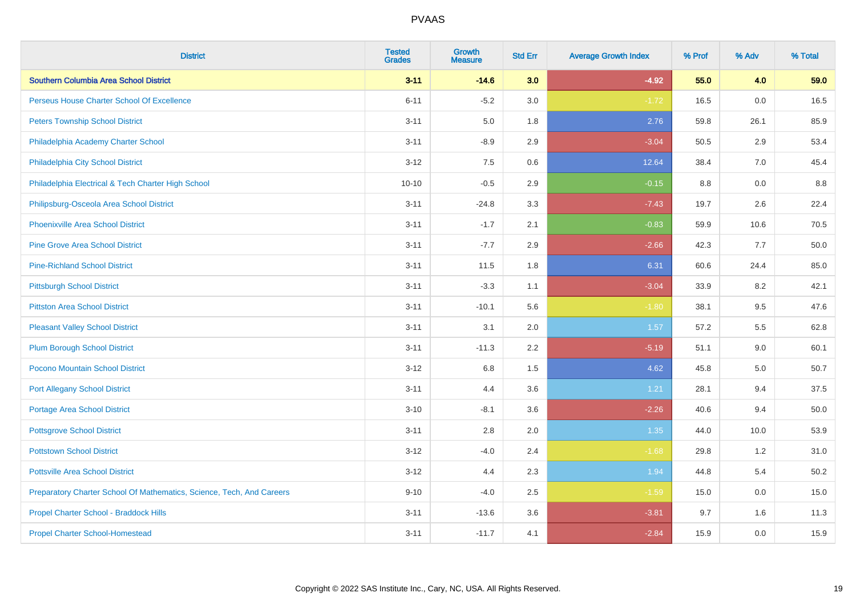| <b>District</b>                                                       | <b>Tested</b><br><b>Grades</b> | <b>Growth</b><br><b>Measure</b> | <b>Std Err</b> | <b>Average Growth Index</b> | % Prof | % Adv | % Total |
|-----------------------------------------------------------------------|--------------------------------|---------------------------------|----------------|-----------------------------|--------|-------|---------|
| Southern Columbia Area School District                                | $3 - 11$                       | $-14.6$                         | 3.0            | $-4.92$                     | 55.0   | 4.0   | 59.0    |
| Perseus House Charter School Of Excellence                            | $6 - 11$                       | $-5.2$                          | 3.0            | $-1.72$                     | 16.5   | 0.0   | 16.5    |
| <b>Peters Township School District</b>                                | $3 - 11$                       | 5.0                             | 1.8            | 2.76                        | 59.8   | 26.1  | 85.9    |
| Philadelphia Academy Charter School                                   | $3 - 11$                       | $-8.9$                          | 2.9            | $-3.04$                     | 50.5   | 2.9   | 53.4    |
| Philadelphia City School District                                     | $3 - 12$                       | 7.5                             | 0.6            | 12.64                       | 38.4   | 7.0   | 45.4    |
| Philadelphia Electrical & Tech Charter High School                    | $10 - 10$                      | $-0.5$                          | 2.9            | $-0.15$                     | 8.8    | 0.0   | 8.8     |
| Philipsburg-Osceola Area School District                              | $3 - 11$                       | $-24.8$                         | 3.3            | $-7.43$                     | 19.7   | 2.6   | 22.4    |
| <b>Phoenixville Area School District</b>                              | $3 - 11$                       | $-1.7$                          | 2.1            | $-0.83$                     | 59.9   | 10.6  | 70.5    |
| <b>Pine Grove Area School District</b>                                | $3 - 11$                       | $-7.7$                          | 2.9            | $-2.66$                     | 42.3   | 7.7   | 50.0    |
| <b>Pine-Richland School District</b>                                  | $3 - 11$                       | 11.5                            | 1.8            | 6.31                        | 60.6   | 24.4  | 85.0    |
| <b>Pittsburgh School District</b>                                     | $3 - 11$                       | $-3.3$                          | 1.1            | $-3.04$                     | 33.9   | 8.2   | 42.1    |
| <b>Pittston Area School District</b>                                  | $3 - 11$                       | $-10.1$                         | 5.6            | $-1.80$                     | 38.1   | 9.5   | 47.6    |
| <b>Pleasant Valley School District</b>                                | $3 - 11$                       | 3.1                             | 2.0            | 1.57                        | 57.2   | 5.5   | 62.8    |
| <b>Plum Borough School District</b>                                   | $3 - 11$                       | $-11.3$                         | 2.2            | $-5.19$                     | 51.1   | 9.0   | 60.1    |
| Pocono Mountain School District                                       | $3 - 12$                       | $6.8\,$                         | 1.5            | 4.62                        | 45.8   | 5.0   | 50.7    |
| <b>Port Allegany School District</b>                                  | $3 - 11$                       | 4.4                             | 3.6            | 1.21                        | 28.1   | 9.4   | 37.5    |
| <b>Portage Area School District</b>                                   | $3 - 10$                       | $-8.1$                          | 3.6            | $-2.26$                     | 40.6   | 9.4   | 50.0    |
| <b>Pottsgrove School District</b>                                     | $3 - 11$                       | 2.8                             | 2.0            | 1.35                        | 44.0   | 10.0  | 53.9    |
| <b>Pottstown School District</b>                                      | $3 - 12$                       | $-4.0$                          | 2.4            | $-1.68$                     | 29.8   | 1.2   | 31.0    |
| <b>Pottsville Area School District</b>                                | $3 - 12$                       | 4.4                             | 2.3            | 1.94                        | 44.8   | 5.4   | 50.2    |
| Preparatory Charter School Of Mathematics, Science, Tech, And Careers | $9 - 10$                       | $-4.0$                          | 2.5            | $-1.59$                     | 15.0   | 0.0   | 15.0    |
| Propel Charter School - Braddock Hills                                | $3 - 11$                       | $-13.6$                         | 3.6            | $-3.81$                     | 9.7    | 1.6   | 11.3    |
| <b>Propel Charter School-Homestead</b>                                | $3 - 11$                       | $-11.7$                         | 4.1            | $-2.84$                     | 15.9   | 0.0   | 15.9    |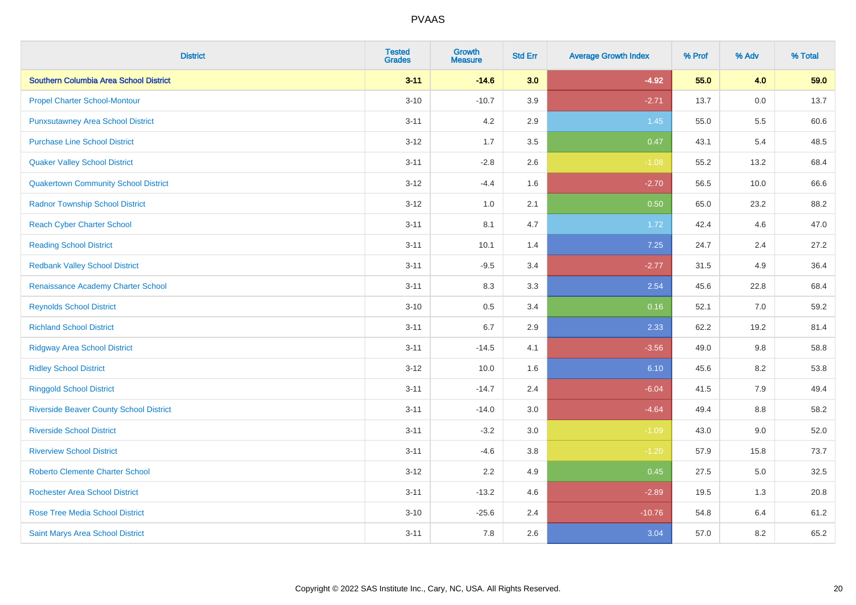| <b>District</b>                                | <b>Tested</b><br><b>Grades</b> | <b>Growth</b><br><b>Measure</b> | <b>Std Err</b> | <b>Average Growth Index</b> | % Prof | % Adv   | % Total |
|------------------------------------------------|--------------------------------|---------------------------------|----------------|-----------------------------|--------|---------|---------|
| Southern Columbia Area School District         | $3 - 11$                       | $-14.6$                         | 3.0            | $-4.92$                     | 55.0   | 4.0     | 59.0    |
| <b>Propel Charter School-Montour</b>           | $3 - 10$                       | $-10.7$                         | 3.9            | $-2.71$                     | 13.7   | 0.0     | 13.7    |
| <b>Punxsutawney Area School District</b>       | $3 - 11$                       | 4.2                             | 2.9            | 1.45                        | 55.0   | 5.5     | 60.6    |
| <b>Purchase Line School District</b>           | $3 - 12$                       | 1.7                             | 3.5            | 0.47                        | 43.1   | 5.4     | 48.5    |
| <b>Quaker Valley School District</b>           | $3 - 11$                       | $-2.8$                          | 2.6            | $-1.08$                     | 55.2   | 13.2    | 68.4    |
| <b>Quakertown Community School District</b>    | $3 - 12$                       | $-4.4$                          | 1.6            | $-2.70$                     | 56.5   | 10.0    | 66.6    |
| <b>Radnor Township School District</b>         | $3 - 12$                       | 1.0                             | 2.1            | 0.50                        | 65.0   | 23.2    | 88.2    |
| <b>Reach Cyber Charter School</b>              | $3 - 11$                       | 8.1                             | 4.7            | 1.72                        | 42.4   | 4.6     | 47.0    |
| <b>Reading School District</b>                 | $3 - 11$                       | 10.1                            | 1.4            | 7.25                        | 24.7   | 2.4     | 27.2    |
| <b>Redbank Valley School District</b>          | $3 - 11$                       | $-9.5$                          | 3.4            | $-2.77$                     | 31.5   | 4.9     | 36.4    |
| Renaissance Academy Charter School             | $3 - 11$                       | 8.3                             | 3.3            | 2.54                        | 45.6   | 22.8    | 68.4    |
| <b>Reynolds School District</b>                | $3 - 10$                       | 0.5                             | 3.4            | 0.16                        | 52.1   | 7.0     | 59.2    |
| <b>Richland School District</b>                | $3 - 11$                       | 6.7                             | 2.9            | 2.33                        | 62.2   | 19.2    | 81.4    |
| <b>Ridgway Area School District</b>            | $3 - 11$                       | $-14.5$                         | 4.1            | $-3.56$                     | 49.0   | 9.8     | 58.8    |
| <b>Ridley School District</b>                  | $3 - 12$                       | 10.0                            | 1.6            | 6.10                        | 45.6   | 8.2     | 53.8    |
| <b>Ringgold School District</b>                | $3 - 11$                       | $-14.7$                         | 2.4            | $-6.04$                     | 41.5   | 7.9     | 49.4    |
| <b>Riverside Beaver County School District</b> | $3 - 11$                       | $-14.0$                         | 3.0            | $-4.64$                     | 49.4   | 8.8     | 58.2    |
| <b>Riverside School District</b>               | $3 - 11$                       | $-3.2$                          | 3.0            | $-1.09$                     | 43.0   | 9.0     | 52.0    |
| <b>Riverview School District</b>               | $3 - 11$                       | $-4.6$                          | 3.8            | $-1.20$                     | 57.9   | 15.8    | 73.7    |
| <b>Roberto Clemente Charter School</b>         | $3 - 12$                       | 2.2                             | 4.9            | 0.45                        | 27.5   | $5.0\,$ | 32.5    |
| <b>Rochester Area School District</b>          | $3 - 11$                       | $-13.2$                         | 4.6            | $-2.89$                     | 19.5   | 1.3     | 20.8    |
| <b>Rose Tree Media School District</b>         | $3 - 10$                       | $-25.6$                         | 2.4            | $-10.76$                    | 54.8   | 6.4     | 61.2    |
| Saint Marys Area School District               | $3 - 11$                       | 7.8                             | 2.6            | 3.04                        | 57.0   | 8.2     | 65.2    |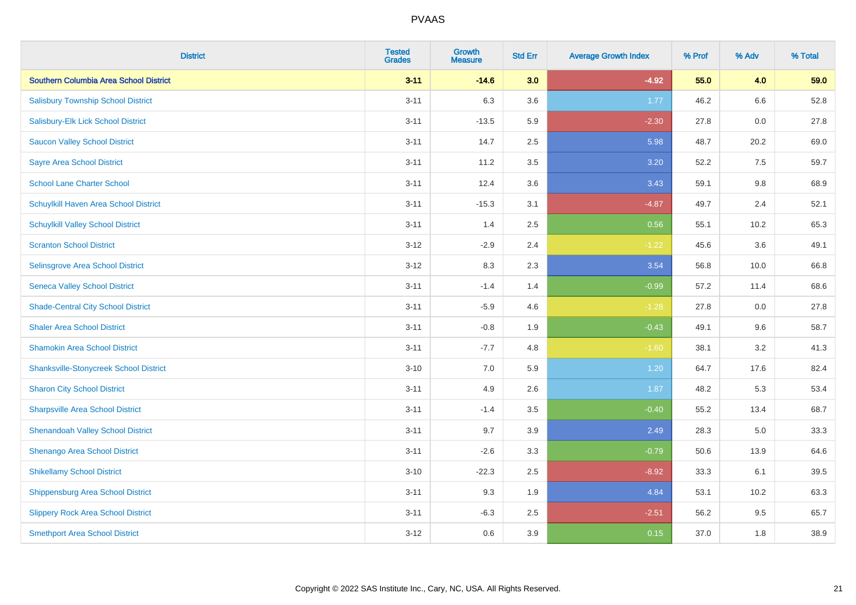| <b>District</b>                               | <b>Tested</b><br><b>Grades</b> | <b>Growth</b><br><b>Measure</b> | <b>Std Err</b> | <b>Average Growth Index</b> | % Prof | % Adv | % Total |
|-----------------------------------------------|--------------------------------|---------------------------------|----------------|-----------------------------|--------|-------|---------|
| Southern Columbia Area School District        | $3 - 11$                       | $-14.6$                         | 3.0            | $-4.92$                     | 55.0   | 4.0   | 59.0    |
| <b>Salisbury Township School District</b>     | $3 - 11$                       | 6.3                             | 3.6            | 1.77                        | 46.2   | 6.6   | 52.8    |
| Salisbury-Elk Lick School District            | $3 - 11$                       | $-13.5$                         | 5.9            | $-2.30$                     | 27.8   | 0.0   | 27.8    |
| <b>Saucon Valley School District</b>          | $3 - 11$                       | 14.7                            | 2.5            | 5.98                        | 48.7   | 20.2  | 69.0    |
| <b>Sayre Area School District</b>             | $3 - 11$                       | 11.2                            | 3.5            | 3.20                        | 52.2   | 7.5   | 59.7    |
| <b>School Lane Charter School</b>             | $3 - 11$                       | 12.4                            | 3.6            | 3.43                        | 59.1   | 9.8   | 68.9    |
| Schuylkill Haven Area School District         | $3 - 11$                       | $-15.3$                         | 3.1            | $-4.87$                     | 49.7   | 2.4   | 52.1    |
| <b>Schuylkill Valley School District</b>      | $3 - 11$                       | 1.4                             | 2.5            | 0.56                        | 55.1   | 10.2  | 65.3    |
| <b>Scranton School District</b>               | $3 - 12$                       | $-2.9$                          | 2.4            | $-1.22$                     | 45.6   | 3.6   | 49.1    |
| <b>Selinsgrove Area School District</b>       | $3 - 12$                       | 8.3                             | 2.3            | 3.54                        | 56.8   | 10.0  | 66.8    |
| <b>Seneca Valley School District</b>          | $3 - 11$                       | $-1.4$                          | 1.4            | $-0.99$                     | 57.2   | 11.4  | 68.6    |
| <b>Shade-Central City School District</b>     | $3 - 11$                       | $-5.9$                          | 4.6            | $-1.28$                     | 27.8   | 0.0   | 27.8    |
| <b>Shaler Area School District</b>            | $3 - 11$                       | $-0.8$                          | 1.9            | $-0.43$                     | 49.1   | 9.6   | 58.7    |
| <b>Shamokin Area School District</b>          | $3 - 11$                       | $-7.7$                          | 4.8            | $-1.60$                     | 38.1   | 3.2   | 41.3    |
| <b>Shanksville-Stonycreek School District</b> | $3 - 10$                       | 7.0                             | 5.9            | 1.20                        | 64.7   | 17.6  | 82.4    |
| <b>Sharon City School District</b>            | $3 - 11$                       | 4.9                             | 2.6            | 1.87                        | 48.2   | 5.3   | 53.4    |
| <b>Sharpsville Area School District</b>       | $3 - 11$                       | $-1.4$                          | 3.5            | $-0.40$                     | 55.2   | 13.4  | 68.7    |
| <b>Shenandoah Valley School District</b>      | $3 - 11$                       | 9.7                             | 3.9            | 2.49                        | 28.3   | 5.0   | 33.3    |
| Shenango Area School District                 | $3 - 11$                       | $-2.6$                          | 3.3            | $-0.79$                     | 50.6   | 13.9  | 64.6    |
| <b>Shikellamy School District</b>             | $3 - 10$                       | $-22.3$                         | 2.5            | $-8.92$                     | 33.3   | 6.1   | 39.5    |
| <b>Shippensburg Area School District</b>      | $3 - 11$                       | 9.3                             | 1.9            | 4.84                        | 53.1   | 10.2  | 63.3    |
| <b>Slippery Rock Area School District</b>     | $3 - 11$                       | $-6.3$                          | 2.5            | $-2.51$                     | 56.2   | 9.5   | 65.7    |
| <b>Smethport Area School District</b>         | $3 - 12$                       | 0.6                             | 3.9            | 0.15                        | 37.0   | 1.8   | 38.9    |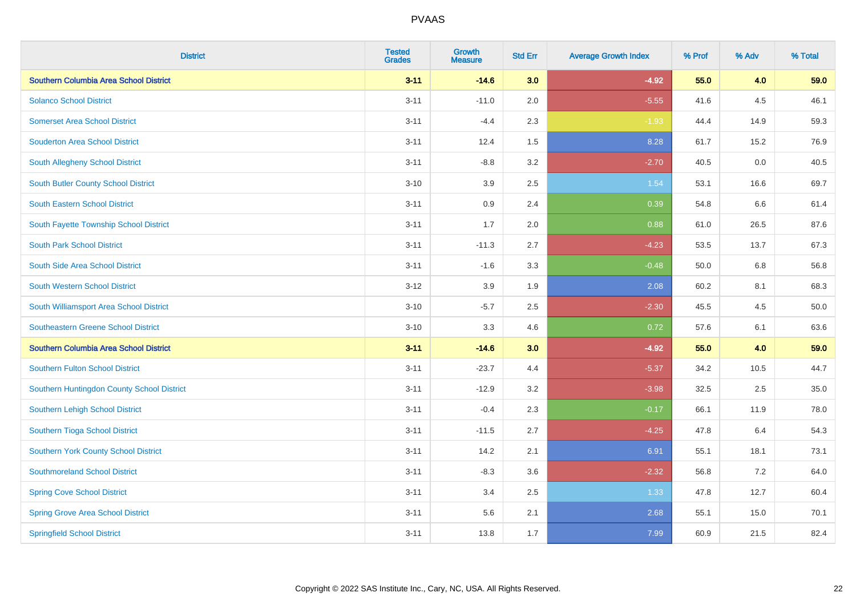| <b>District</b>                               | <b>Tested</b><br><b>Grades</b> | <b>Growth</b><br><b>Measure</b> | <b>Std Err</b> | <b>Average Growth Index</b> | % Prof | % Adv | % Total |
|-----------------------------------------------|--------------------------------|---------------------------------|----------------|-----------------------------|--------|-------|---------|
| Southern Columbia Area School District        | $3 - 11$                       | $-14.6$                         | 3.0            | $-4.92$                     | 55.0   | 4.0   | 59.0    |
| <b>Solanco School District</b>                | $3 - 11$                       | $-11.0$                         | 2.0            | $-5.55$                     | 41.6   | 4.5   | 46.1    |
| <b>Somerset Area School District</b>          | $3 - 11$                       | $-4.4$                          | 2.3            | $-1.93$                     | 44.4   | 14.9  | 59.3    |
| <b>Souderton Area School District</b>         | $3 - 11$                       | 12.4                            | 1.5            | 8.28                        | 61.7   | 15.2  | 76.9    |
| South Allegheny School District               | $3 - 11$                       | $-8.8$                          | 3.2            | $-2.70$                     | 40.5   | 0.0   | 40.5    |
| <b>South Butler County School District</b>    | $3 - 10$                       | 3.9                             | 2.5            | 1.54                        | 53.1   | 16.6  | 69.7    |
| <b>South Eastern School District</b>          | $3 - 11$                       | 0.9                             | 2.4            | 0.39                        | 54.8   | 6.6   | 61.4    |
| South Fayette Township School District        | $3 - 11$                       | 1.7                             | 2.0            | 0.88                        | 61.0   | 26.5  | 87.6    |
| <b>South Park School District</b>             | $3 - 11$                       | $-11.3$                         | 2.7            | $-4.23$                     | 53.5   | 13.7  | 67.3    |
| South Side Area School District               | $3 - 11$                       | $-1.6$                          | 3.3            | $-0.48$                     | 50.0   | 6.8   | 56.8    |
| South Western School District                 | $3-12$                         | 3.9                             | 1.9            | 2.08                        | 60.2   | 8.1   | 68.3    |
| South Williamsport Area School District       | $3 - 10$                       | $-5.7$                          | 2.5            | $-2.30$                     | 45.5   | 4.5   | 50.0    |
| Southeastern Greene School District           | $3 - 10$                       | 3.3                             | 4.6            | 0.72                        | 57.6   | 6.1   | 63.6    |
| <b>Southern Columbia Area School District</b> | $3 - 11$                       | $-14.6$                         | 3.0            | $-4.92$                     | 55.0   | 4.0   | 59.0    |
| <b>Southern Fulton School District</b>        | $3 - 11$                       | $-23.7$                         | 4.4            | $-5.37$                     | 34.2   | 10.5  | 44.7    |
| Southern Huntingdon County School District    | $3 - 11$                       | $-12.9$                         | 3.2            | $-3.98$                     | 32.5   | 2.5   | 35.0    |
| Southern Lehigh School District               | $3 - 11$                       | $-0.4$                          | 2.3            | $-0.17$                     | 66.1   | 11.9  | 78.0    |
| Southern Tioga School District                | $3 - 11$                       | $-11.5$                         | 2.7            | $-4.25$                     | 47.8   | 6.4   | 54.3    |
| Southern York County School District          | $3 - 11$                       | 14.2                            | 2.1            | 6.91                        | 55.1   | 18.1  | 73.1    |
| <b>Southmoreland School District</b>          | $3 - 11$                       | $-8.3$                          | 3.6            | $-2.32$                     | 56.8   | 7.2   | 64.0    |
| <b>Spring Cove School District</b>            | $3 - 11$                       | 3.4                             | 2.5            | 1.33                        | 47.8   | 12.7  | 60.4    |
| <b>Spring Grove Area School District</b>      | $3 - 11$                       | 5.6                             | 2.1            | 2.68                        | 55.1   | 15.0  | 70.1    |
| <b>Springfield School District</b>            | $3 - 11$                       | 13.8                            | 1.7            | 7.99                        | 60.9   | 21.5  | 82.4    |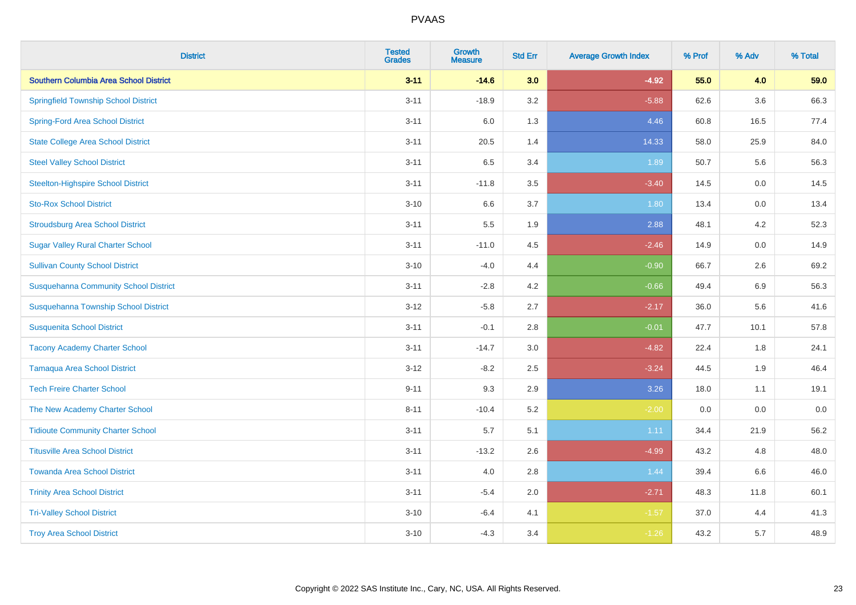| <b>District</b>                               | <b>Tested</b><br><b>Grades</b> | Growth<br><b>Measure</b> | <b>Std Err</b> | <b>Average Growth Index</b> | % Prof | % Adv   | % Total |
|-----------------------------------------------|--------------------------------|--------------------------|----------------|-----------------------------|--------|---------|---------|
| <b>Southern Columbia Area School District</b> | $3 - 11$                       | $-14.6$                  | 3.0            | $-4.92$                     | 55.0   | 4.0     | 59.0    |
| <b>Springfield Township School District</b>   | $3 - 11$                       | $-18.9$                  | 3.2            | $-5.88$                     | 62.6   | 3.6     | 66.3    |
| <b>Spring-Ford Area School District</b>       | $3 - 11$                       | 6.0                      | 1.3            | 4.46                        | 60.8   | 16.5    | 77.4    |
| <b>State College Area School District</b>     | $3 - 11$                       | 20.5                     | 1.4            | 14.33                       | 58.0   | 25.9    | 84.0    |
| <b>Steel Valley School District</b>           | $3 - 11$                       | 6.5                      | 3.4            | 1.89                        | 50.7   | 5.6     | 56.3    |
| <b>Steelton-Highspire School District</b>     | $3 - 11$                       | $-11.8$                  | 3.5            | $-3.40$                     | 14.5   | $0.0\,$ | 14.5    |
| <b>Sto-Rox School District</b>                | $3 - 10$                       | 6.6                      | 3.7            | 1.80                        | 13.4   | 0.0     | 13.4    |
| <b>Stroudsburg Area School District</b>       | $3 - 11$                       | 5.5                      | 1.9            | 2.88                        | 48.1   | 4.2     | 52.3    |
| <b>Sugar Valley Rural Charter School</b>      | $3 - 11$                       | $-11.0$                  | 4.5            | $-2.46$                     | 14.9   | 0.0     | 14.9    |
| <b>Sullivan County School District</b>        | $3 - 10$                       | $-4.0$                   | 4.4            | $-0.90$                     | 66.7   | 2.6     | 69.2    |
| <b>Susquehanna Community School District</b>  | $3 - 11$                       | $-2.8$                   | 4.2            | $-0.66$                     | 49.4   | 6.9     | 56.3    |
| Susquehanna Township School District          | $3 - 12$                       | $-5.8$                   | 2.7            | $-2.17$                     | 36.0   | 5.6     | 41.6    |
| <b>Susquenita School District</b>             | $3 - 11$                       | $-0.1$                   | 2.8            | $-0.01$                     | 47.7   | 10.1    | 57.8    |
| <b>Tacony Academy Charter School</b>          | $3 - 11$                       | $-14.7$                  | 3.0            | $-4.82$                     | 22.4   | 1.8     | 24.1    |
| <b>Tamaqua Area School District</b>           | $3 - 12$                       | $-8.2$                   | 2.5            | $-3.24$                     | 44.5   | 1.9     | 46.4    |
| <b>Tech Freire Charter School</b>             | $9 - 11$                       | 9.3                      | 2.9            | 3.26                        | 18.0   | 1.1     | 19.1    |
| The New Academy Charter School                | $8 - 11$                       | $-10.4$                  | 5.2            | $-2.00$                     | 0.0    | 0.0     | $0.0\,$ |
| <b>Tidioute Community Charter School</b>      | $3 - 11$                       | 5.7                      | 5.1            | 1.11                        | 34.4   | 21.9    | 56.2    |
| <b>Titusville Area School District</b>        | $3 - 11$                       | $-13.2$                  | 2.6            | $-4.99$                     | 43.2   | 4.8     | 48.0    |
| <b>Towanda Area School District</b>           | $3 - 11$                       | 4.0                      | 2.8            | 1.44                        | 39.4   | 6.6     | 46.0    |
| <b>Trinity Area School District</b>           | $3 - 11$                       | $-5.4$                   | 2.0            | $-2.71$                     | 48.3   | 11.8    | 60.1    |
| <b>Tri-Valley School District</b>             | $3 - 10$                       | $-6.4$                   | 4.1            | $-1.57$                     | 37.0   | 4.4     | 41.3    |
| <b>Troy Area School District</b>              | $3 - 10$                       | $-4.3$                   | 3.4            | $-1.26$                     | 43.2   | 5.7     | 48.9    |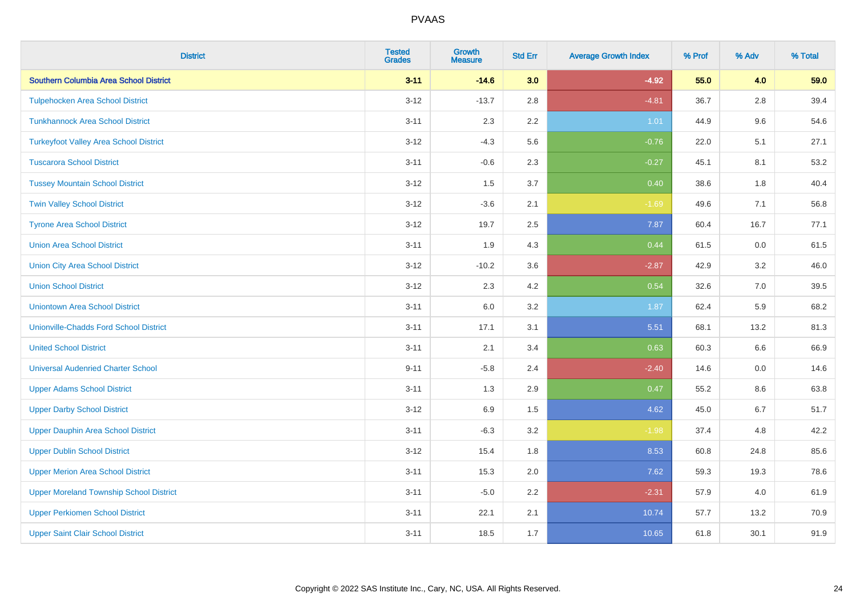| <b>District</b>                                | <b>Tested</b><br><b>Grades</b> | <b>Growth</b><br><b>Measure</b> | <b>Std Err</b> | <b>Average Growth Index</b> | % Prof | % Adv   | % Total |
|------------------------------------------------|--------------------------------|---------------------------------|----------------|-----------------------------|--------|---------|---------|
| Southern Columbia Area School District         | $3 - 11$                       | $-14.6$                         | 3.0            | $-4.92$                     | 55.0   | 4.0     | 59.0    |
| <b>Tulpehocken Area School District</b>        | $3 - 12$                       | $-13.7$                         | 2.8            | $-4.81$                     | 36.7   | $2.8\,$ | 39.4    |
| <b>Tunkhannock Area School District</b>        | $3 - 11$                       | 2.3                             | 2.2            | 1.01                        | 44.9   | 9.6     | 54.6    |
| <b>Turkeyfoot Valley Area School District</b>  | $3 - 12$                       | $-4.3$                          | 5.6            | $-0.76$                     | 22.0   | 5.1     | 27.1    |
| <b>Tuscarora School District</b>               | $3 - 11$                       | $-0.6$                          | 2.3            | $-0.27$                     | 45.1   | 8.1     | 53.2    |
| <b>Tussey Mountain School District</b>         | $3 - 12$                       | 1.5                             | 3.7            | 0.40                        | 38.6   | 1.8     | 40.4    |
| <b>Twin Valley School District</b>             | $3 - 12$                       | $-3.6$                          | 2.1            | $-1.69$                     | 49.6   | 7.1     | 56.8    |
| <b>Tyrone Area School District</b>             | $3 - 12$                       | 19.7                            | 2.5            | 7.87                        | 60.4   | 16.7    | 77.1    |
| <b>Union Area School District</b>              | $3 - 11$                       | 1.9                             | 4.3            | 0.44                        | 61.5   | 0.0     | 61.5    |
| <b>Union City Area School District</b>         | $3 - 12$                       | $-10.2$                         | 3.6            | $-2.87$                     | 42.9   | 3.2     | 46.0    |
| <b>Union School District</b>                   | $3 - 12$                       | 2.3                             | 4.2            | 0.54                        | 32.6   | 7.0     | 39.5    |
| <b>Uniontown Area School District</b>          | $3 - 11$                       | 6.0                             | 3.2            | 1.87                        | 62.4   | 5.9     | 68.2    |
| <b>Unionville-Chadds Ford School District</b>  | $3 - 11$                       | 17.1                            | 3.1            | 5.51                        | 68.1   | 13.2    | 81.3    |
| <b>United School District</b>                  | $3 - 11$                       | 2.1                             | 3.4            | 0.63                        | 60.3   | 6.6     | 66.9    |
| <b>Universal Audenried Charter School</b>      | $9 - 11$                       | $-5.8$                          | 2.4            | $-2.40$                     | 14.6   | 0.0     | 14.6    |
| <b>Upper Adams School District</b>             | $3 - 11$                       | 1.3                             | 2.9            | 0.47                        | 55.2   | $8.6\,$ | 63.8    |
| <b>Upper Darby School District</b>             | $3 - 12$                       | 6.9                             | 1.5            | 4.62                        | 45.0   | 6.7     | 51.7    |
| <b>Upper Dauphin Area School District</b>      | $3 - 11$                       | $-6.3$                          | 3.2            | $-1.98$                     | 37.4   | 4.8     | 42.2    |
| <b>Upper Dublin School District</b>            | $3 - 12$                       | 15.4                            | 1.8            | 8.53                        | 60.8   | 24.8    | 85.6    |
| <b>Upper Merion Area School District</b>       | $3 - 11$                       | 15.3                            | 2.0            | 7.62                        | 59.3   | 19.3    | 78.6    |
| <b>Upper Moreland Township School District</b> | $3 - 11$                       | $-5.0$                          | 2.2            | $-2.31$                     | 57.9   | 4.0     | 61.9    |
| <b>Upper Perkiomen School District</b>         | $3 - 11$                       | 22.1                            | 2.1            | 10.74                       | 57.7   | 13.2    | 70.9    |
| <b>Upper Saint Clair School District</b>       | $3 - 11$                       | 18.5                            | 1.7            | 10.65                       | 61.8   | 30.1    | 91.9    |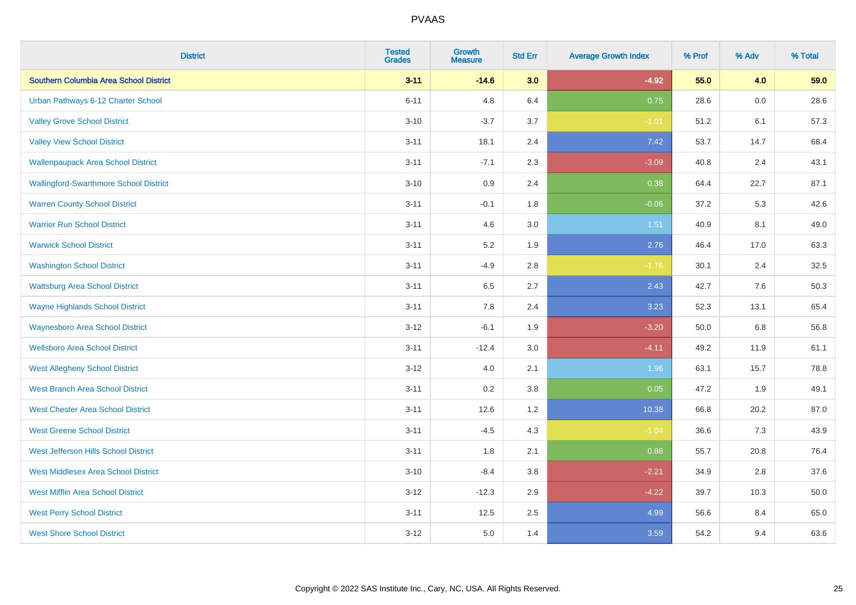| <b>District</b>                               | <b>Tested</b><br><b>Grades</b> | <b>Growth</b><br><b>Measure</b> | <b>Std Err</b> | <b>Average Growth Index</b> | % Prof | % Adv   | % Total |
|-----------------------------------------------|--------------------------------|---------------------------------|----------------|-----------------------------|--------|---------|---------|
| Southern Columbia Area School District        | $3 - 11$                       | $-14.6$                         | 3.0            | $-4.92$                     | 55.0   | 4.0     | 59.0    |
| Urban Pathways 6-12 Charter School            | $6 - 11$                       | 4.8                             | 6.4            | 0.75                        | 28.6   | $0.0\,$ | 28.6    |
| <b>Valley Grove School District</b>           | $3 - 10$                       | $-3.7$                          | 3.7            | $-1.01$                     | 51.2   | 6.1     | 57.3    |
| <b>Valley View School District</b>            | $3 - 11$                       | 18.1                            | 2.4            | 7.42                        | 53.7   | 14.7    | 68.4    |
| <b>Wallenpaupack Area School District</b>     | $3 - 11$                       | $-7.1$                          | 2.3            | $-3.09$                     | 40.8   | 2.4     | 43.1    |
| <b>Wallingford-Swarthmore School District</b> | $3 - 10$                       | 0.9                             | 2.4            | 0.38                        | 64.4   | 22.7    | 87.1    |
| <b>Warren County School District</b>          | $3 - 11$                       | $-0.1$                          | 1.8            | $-0.06$                     | 37.2   | 5.3     | 42.6    |
| <b>Warrior Run School District</b>            | $3 - 11$                       | 4.6                             | 3.0            | 1.51                        | 40.9   | 8.1     | 49.0    |
| <b>Warwick School District</b>                | $3 - 11$                       | 5.2                             | 1.9            | 2.76                        | 46.4   | 17.0    | 63.3    |
| <b>Washington School District</b>             | $3 - 11$                       | $-4.9$                          | 2.8            | $-1.76$                     | 30.1   | 2.4     | 32.5    |
| <b>Wattsburg Area School District</b>         | $3 - 11$                       | 6.5                             | 2.7            | 2.43                        | 42.7   | 7.6     | 50.3    |
| <b>Wayne Highlands School District</b>        | $3 - 11$                       | 7.8                             | 2.4            | 3.23                        | 52.3   | 13.1    | 65.4    |
| <b>Waynesboro Area School District</b>        | $3 - 12$                       | $-6.1$                          | 1.9            | $-3.20$                     | 50.0   | $6.8\,$ | 56.8    |
| <b>Wellsboro Area School District</b>         | $3 - 11$                       | $-12.4$                         | 3.0            | $-4.11$                     | 49.2   | 11.9    | 61.1    |
| <b>West Allegheny School District</b>         | $3 - 12$                       | $4.0\,$                         | 2.1            | 1.96                        | 63.1   | 15.7    | 78.8    |
| <b>West Branch Area School District</b>       | $3 - 11$                       | 0.2                             | 3.8            | 0.05                        | 47.2   | 1.9     | 49.1    |
| <b>West Chester Area School District</b>      | $3 - 11$                       | 12.6                            | 1.2            | 10.38                       | 66.8   | 20.2    | 87.0    |
| <b>West Greene School District</b>            | $3 - 11$                       | $-4.5$                          | 4.3            | $-1.04$                     | 36.6   | 7.3     | 43.9    |
| West Jefferson Hills School District          | $3 - 11$                       | 1.8                             | 2.1            | 0.88                        | 55.7   | 20.8    | 76.4    |
| <b>West Middlesex Area School District</b>    | $3 - 10$                       | $-8.4$                          | 3.8            | $-2.21$                     | 34.9   | 2.8     | 37.6    |
| <b>West Mifflin Area School District</b>      | $3 - 12$                       | $-12.3$                         | 2.9            | $-4.22$                     | 39.7   | 10.3    | 50.0    |
| <b>West Perry School District</b>             | $3 - 11$                       | 12.5                            | 2.5            | 4.99                        | 56.6   | 8.4     | 65.0    |
| <b>West Shore School District</b>             | $3 - 12$                       | 5.0                             | 1.4            | 3.59                        | 54.2   | 9.4     | 63.6    |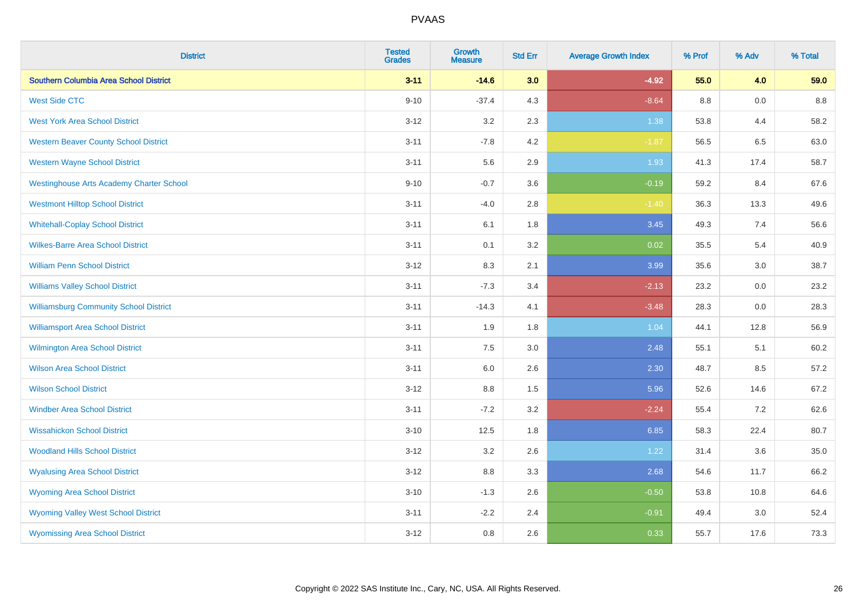| <b>District</b>                                 | <b>Tested</b><br><b>Grades</b> | <b>Growth</b><br><b>Measure</b> | <b>Std Err</b> | <b>Average Growth Index</b> | % Prof  | % Adv | % Total |
|-------------------------------------------------|--------------------------------|---------------------------------|----------------|-----------------------------|---------|-------|---------|
| Southern Columbia Area School District          | $3 - 11$                       | $-14.6$                         | 3.0            | $-4.92$                     | 55.0    | 4.0   | 59.0    |
| <b>West Side CTC</b>                            | $9 - 10$                       | $-37.4$                         | 4.3            | $-8.64$                     | $8.8\,$ | 0.0   | $8.8\,$ |
| <b>West York Area School District</b>           | $3 - 12$                       | 3.2                             | 2.3            | 1.38                        | 53.8    | 4.4   | 58.2    |
| <b>Western Beaver County School District</b>    | $3 - 11$                       | $-7.8$                          | 4.2            | $-1.87$                     | 56.5    | 6.5   | 63.0    |
| <b>Western Wayne School District</b>            | $3 - 11$                       | 5.6                             | 2.9            | 1.93                        | 41.3    | 17.4  | 58.7    |
| <b>Westinghouse Arts Academy Charter School</b> | $9 - 10$                       | $-0.7$                          | 3.6            | $-0.19$                     | 59.2    | 8.4   | 67.6    |
| <b>Westmont Hilltop School District</b>         | $3 - 11$                       | $-4.0$                          | 2.8            | $-1.40$                     | 36.3    | 13.3  | 49.6    |
| <b>Whitehall-Coplay School District</b>         | $3 - 11$                       | 6.1                             | 1.8            | 3.45                        | 49.3    | 7.4   | 56.6    |
| <b>Wilkes-Barre Area School District</b>        | $3 - 11$                       | 0.1                             | 3.2            | 0.02                        | 35.5    | 5.4   | 40.9    |
| <b>William Penn School District</b>             | $3 - 12$                       | 8.3                             | 2.1            | 3.99                        | 35.6    | 3.0   | 38.7    |
| <b>Williams Valley School District</b>          | $3 - 11$                       | $-7.3$                          | 3.4            | $-2.13$                     | 23.2    | 0.0   | 23.2    |
| <b>Williamsburg Community School District</b>   | $3 - 11$                       | $-14.3$                         | 4.1            | $-3.48$                     | 28.3    | 0.0   | 28.3    |
| <b>Williamsport Area School District</b>        | $3 - 11$                       | 1.9                             | 1.8            | 1.04                        | 44.1    | 12.8  | 56.9    |
| <b>Wilmington Area School District</b>          | $3 - 11$                       | 7.5                             | 3.0            | 2.48                        | 55.1    | 5.1   | 60.2    |
| <b>Wilson Area School District</b>              | $3 - 11$                       | 6.0                             | 2.6            | 2.30                        | 48.7    | 8.5   | 57.2    |
| <b>Wilson School District</b>                   | $3 - 12$                       | 8.8                             | 1.5            | 5.96                        | 52.6    | 14.6  | 67.2    |
| <b>Windber Area School District</b>             | $3 - 11$                       | $-7.2$                          | 3.2            | $-2.24$                     | 55.4    | 7.2   | 62.6    |
| <b>Wissahickon School District</b>              | $3 - 10$                       | 12.5                            | 1.8            | 6.85                        | 58.3    | 22.4  | 80.7    |
| <b>Woodland Hills School District</b>           | $3 - 12$                       | 3.2                             | 2.6            | 1.22                        | 31.4    | 3.6   | 35.0    |
| <b>Wyalusing Area School District</b>           | $3 - 12$                       | $8.8\,$                         | 3.3            | 2.68                        | 54.6    | 11.7  | 66.2    |
| <b>Wyoming Area School District</b>             | $3 - 10$                       | $-1.3$                          | 2.6            | $-0.50$                     | 53.8    | 10.8  | 64.6    |
| <b>Wyoming Valley West School District</b>      | $3 - 11$                       | $-2.2$                          | 2.4            | $-0.91$                     | 49.4    | 3.0   | 52.4    |
| <b>Wyomissing Area School District</b>          | $3 - 12$                       | 0.8                             | 2.6            | 0.33                        | 55.7    | 17.6  | 73.3    |